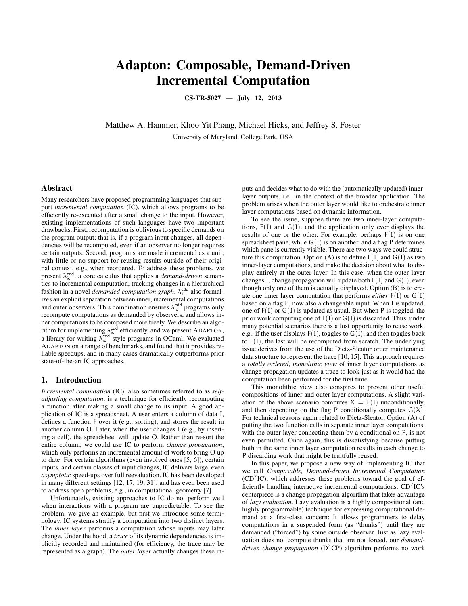# Adapton: Composable, Demand-Driven Incremental Computation

CS-TR-5027 — July 12, 2013

Matthew A. Hammer, Khoo Yit Phang, Michael Hicks, and Jeffrey S. Foster University of Maryland, College Park, USA

### Abstract

Many researchers have proposed programming languages that support *incremental computation* (IC), which allows programs to be efficiently re-executed after a small change to the input. However, existing implementations of such languages have two important drawbacks. First, recomputation is oblivious to specific demands on the program output; that is, if a program input changes, all dependencies will be recomputed, even if an observer no longer requires certain outputs. Second, programs are made incremental as a unit, with little or no support for reusing results outside of their original context, e.g., when reordered. To address these problems, we present λ<sup>cdd</sup>, a core calculus that applies a *demand-driven* semantics to incremental computation, tracking changes in a hierarchical fashion in a novel *demanded computation graph*.  $\lambda_{ic}^{cdd}$  also formalizes an explicit separation between inner, incremental computations and outer observers. This combination ensures  $\lambda_{ic}^{cdd}$  programs only recompute computations as demanded by observers, and allows inner computations to be composed more freely. We describe an algorithm for implementing  $\lambda_{\text{ic}}^{\text{cdd}}$  efficiently, and we present ADAPTON, a library for writing  $\lambda_{ic}^{cdd}$ -style programs in OCaml. We evaluated ADAPTON on a range of benchmarks, and found that it provides reliable speedups, and in many cases dramatically outperforms prior state-of-the-art IC approaches.

#### 1. Introduction

*Incremental computation* (IC), also sometimes referred to as *selfadjusting computation*, is a technique for efficiently recomputing a function after making a small change to its input. A good application of IC is a spreadsheet. A user enters a column of data I, defines a function F over it (e.g., sorting), and stores the result in another column O. Later, when the user changes I (e.g., by inserting a cell), the spreadsheet will update O. Rather than re-sort the entire column, we could use IC to perform *change propagation*, which only performs an incremental amount of work to bring O up to date. For certain algorithms (even involved ones [5, 6]), certain inputs, and certain classes of input changes, IC delivers large, even *asymptotic* speed-ups over full reevaluation. IC has been developed in many different settings [12, 17, 19, 31], and has even been used to address open problems, e.g., in computational geometry [7].

Unfortunately, existing approaches to IC do not perform well when interactions with a program are unpredictable. To see the problem, we give an example, but first we introduce some terminology. IC systems stratify a computation into two distinct layers. The *inner layer* performs a computation whose inputs may later change. Under the hood, a *trace* of its dynamic dependencies is implicitly recorded and maintained (for efficiency, the trace may be represented as a graph). The *outer layer* actually changes these in-

puts and decides what to do with the (automatically updated) innerlayer outputs, i.e., in the context of the broader application. The problem arises when the outer layer would like to orchestrate inner layer computations based on dynamic information.

To see the issue, suppose there are two inner-layer computations,  $F(I)$  and  $G(I)$ , and the application only ever displays the results of one or the other. For example, perhaps F(I) is on one spreadsheet pane, while  $G(I)$  is on another, and a flag P determines which pane is currently visible. There are two ways we could structure this computation. Option (A) is to define  $F(I)$  and  $G(I)$  as two inner-layer computations, and make the decision about what to display entirely at the outer layer. In this case, when the outer layer changes I, change propagation will update both  $F(I)$  and  $G(I)$ , even though only one of them is actually displayed. Option (B) is to create one inner layer computation that performs *either* F(I) or G(I) based on a flag P, now also a changeable input. When I is updated, one of  $F(I)$  or  $G(I)$  is updated as usual. But when P is toggled, the prior work computing one of  $F(I)$  or  $G(I)$  is discarded. Thus, under many potential scenarios there is a lost opportunity to reuse work, e.g., if the user displays  $F(I)$ , toggles to  $G(I)$ , and then toggles back to F(I), the last will be recomputed from scratch. The underlying issue derives from the use of the Dietz-Sleator order maintenance data structure to represent the trace [10, 15]. This approach requires a *totally ordered*, *monolithic view* of inner layer computations as change propagation updates a trace to look just as it would had the computation been performed for the first time.

This monolithic view also conspires to prevent other useful compositions of inner and outer layer computations. A slight variation of the above scenario computes  $X = F(I)$  unconditionally. and then depending on the flag P conditionally computes  $G(X)$ . For technical reasons again related to Dietz-Sleator, Option (A) of putting the two function calls in separate inner layer computations, with the outer layer connecting them by a conditional on P, is not even permitted. Once again, this is dissatisfying because putting both in the same inner layer computation results in each change to P discarding work that might be fruitfully reused.

In this paper, we propose a new way of implementing IC that we call *Composable, Demand-driven Incremental Computation*  $(CD<sup>2</sup>IC)$ , which addresses these problems toward the goal of efficiently handling interactive incremental computations.  $CD<sup>2</sup>IC's$ centerpiece is a change propagation algorithm that takes advantage of *lazy evaluation*. Lazy evaluation is a highly compositional (and highly programmable) technique for expressing computational demand as a first-class concern: It allows programmers to delay computations in a suspended form (as "thunks") until they are demanded ("forced") by some outside observer. Just as lazy evaluation does not compute thunks that are not forced, our *demanddriven change propagation* ( $D^2$ CP) algorithm performs no work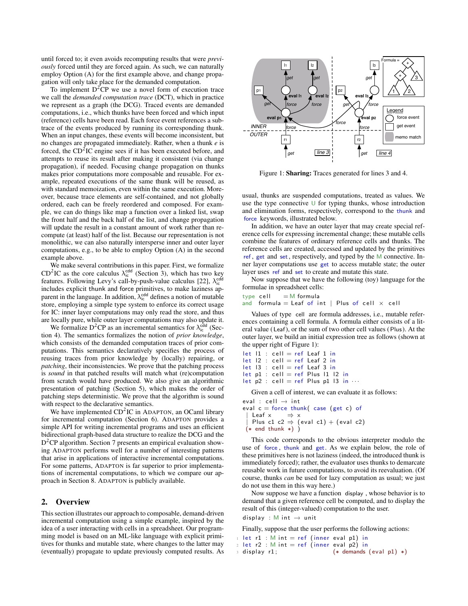until forced to; it even avoids recomputing results that were *previously* forced until they are forced again. As such, we can naturally employ Option (A) for the first example above, and change propagation will only take place for the demanded computation.

To implement  $D^2CP$  we use a novel form of execution trace we call the *demanded computation trace* (DCT), which in practice we represent as a graph (the DCG). Traced events are demanded computations, i.e., which thunks have been forced and which input (reference) cells have been read. Each force event references a subtrace of the events produced by running its corresponding thunk. When an input changes, these events will become inconsistent, but no changes are propagated immediately. Rather, when a thunk *e* is forced, the  $CD<sup>2</sup>IC$  engine sees if it has been executed before, and attempts to reuse its result after making it consistent (via change propagation), if needed. Focusing change propagation on thunks makes prior computations more composable and reusable. For example, repeated executions of the same thunk will be reused, as with standard memoization, even within the same execution. Moreover, because trace elements are self-contained, and not globally ordered, each can be freely reordered and composed. For example, we can do things like map a function over a linked list, swap the front half and the back half of the list, and change propagation will update the result in a constant amount of work rather than recompute (at least) half of the list. Because our representation is not monolithic, we can also naturally intersperse inner and outer layer computations, e.g., to be able to employ Option (A) in the second example above.

We make several contributions in this paper. First, we formalize CD<sup>2</sup>IC as the core calculus  $\lambda_{\rm ic}^{\rm cdd}$  (Section 3), which has two key features. Following Levy's call-by-push-value calculus [22],  $\lambda_{\rm ic}^{\rm cdd}$ includes explicit thunk and force primitives, to make laziness apparent in the language. In addition,  $\lambda_{ic}^{cdd}$  defines a notion of mutable store, employing a simple type system to enforce its correct usage for IC: inner layer computations may only read the store, and thus are locally pure, while outer layer computations may also update it.

We formalize  $D^2CP$  as an incremental semantics for  $\lambda_{ic}^{\text{cdd}}$  (Section 4). The semantics formalizes the notion of *prior knowledge*, which consists of the demanded computation traces of prior computations. This semantics declaratively specifies the process of reusing traces from prior knowledge by (locally) repairing, or *patching*, their inconsistencies. We prove that the patching process is *sound* in that patched results will match what (re)computation from scratch would have produced. We also give an algorithmic presentation of patching (Section 5), which makes the order of patching steps deterministic. We prove that the algorithm is sound with respect to the declarative semantics.

We have implemented CD<sup>2</sup>IC in ADAPTON, an OCaml library for incremental computation (Section 6). ADAPTON provides a simple API for writing incremental programs and uses an efficient bidirectional graph-based data structure to realize the DCG and the D<sup>2</sup>CP algorithm. Section 7 presents an empirical evaluation showing ADAPTON performs well for a number of interesting patterns that arise in applications of interactive incremental computations. For some patterns, ADAPTON is far superior to prior implementations of incremental computations, to which we compare our approach in Section 8. ADAPTON is publicly available.

#### 2. Overview

This section illustrates our approach to composable, demand-driven incremental computation using a simple example, inspired by the idea of a user interacting with cells in a spreadsheet. Our programming model is based on an ML-like language with explicit primitives for thunks and mutable state, where changes to the latter may (eventually) propagate to update previously computed results. As



Figure 1: Sharing: Traces generated for lines 3 and 4.

usual, thunks are suspended computations, treated as values. We use the type connective  $\cup$  for typing thunks, whose introduction and elimination forms, respectively, correspond to the thunk and force keywords, illustrated below.

In addition, we have an outer layer that may create special reference cells for expressing incremental change; these mutable cells combine the features of ordinary reference cells and thunks. The reference cells are created, accessed and updated by the primitives ref , get and set, respectively, and typed by the M connective. Inner layer computations use get to access mutable state; the outer layer uses ref and set to create and mutate this state.

Now suppose that we have the following (toy) language for the formulae in spreadsheet cells:

type cell  $=$  M formula and formula = Leaf of int | Plus of cell  $\times$  cell

Values of type cell are formula addresses, i.e., mutable references containing a cell formula. A formula either consists of a literal value (Leaf), or the sum of two other cell values (Plus ). At the outer layer, we build an initial expression tree as follows (shown at the upper right of Figure 1):

let  $1 :$  cell = ref Leaf 1 in  $let$   $|2 : cell = ref$  Leaf 2 in  $let$   $|3 : cell = ref$  Leaf 3 in  $let$  p1 : cell = ref Plus l1 l2 in let  $p2$  : cell = ref Plus p1 13 in  $\cdots$ 

Given a cell of interest, we can evaluate it as follows:

eval : cell  $\rightarrow$  int eval  $c =$  force thunk( case (get c) of | Leaf  $x \Rightarrow x$ <br>| Dlug a1 a2 ⇒ ( | Plus c1 c2  $\Rightarrow$  (eval c1) + (eval c2)  $(*$  end thunk  $*)$  )

This code corresponds to the obvious interpreter modulo the use of force, thunk and get. As we explain below, the role of these primitives here is not laziness (indeed, the introduced thunk is immediately forced); rather, the evaluator uses thunks to demarcate reusable work in future computations, to avoid its reevaluation. (Of course, thunks *can* be used for lazy computation as usual; we just do not use them in this way here.)

Now suppose we have a function display , whose behavior is to demand that a given reference cell be computed, and to display the result of this (integer-valued) computation to the user.

display : M int  $\rightarrow$  unit

Finally, suppose that the user performs the following actions:

- $1$  let r $1$  :  $M$  int  $=$  ref (inner eval p1) in
- $2 \text{ let } r2 \text{ : } M \text{ int } = \text{ref } (\text{inner } \text{eval } p2) \text{ in }$
- $3$  display r1;  $(*$  demands  $\text{(eval } p1) *$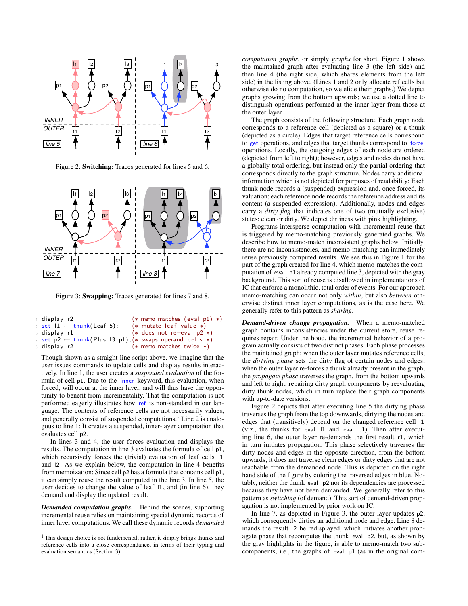

Figure 2: Switching: Traces generated for lines 5 and 6.



Figure 3: Swapping: Traces generated for lines 7 and 8.

| $4$ display $r2$ :                                                                         | $(* \tmemo \tmatches (eval p1) *)$ |
|--------------------------------------------------------------------------------------------|------------------------------------|
| $s$ set $1 \leftarrow \text{thunk}(\text{Leaf } 5);$                                       | $(*$ mutate leaf value $*)$        |
| $6$ display $r1$ :                                                                         | $(*$ does not re-eval $p2 *$ )     |
| 7 set $p2 \leftarrow \text{think}(\text{Plus } 13 \text{ p1}); (*)$ swaps operand cells *) |                                    |
| 8 display r2;                                                                              | $(* \t{memo matches twice *)}$     |

Though shown as a straight-line script above, we imagine that the user issues commands to update cells and display results interactively. In line 1, the user creates a *suspended evaluation* of the formula of cell p1. Due to the inner keyword, this evaluation, when forced, will occur at the inner layer, and will thus have the opportunity to benefit from incrementality. That the computation is not performed eagerly illustrates how ref is non-standard in our language: The contents of reference cells are not necessarily values, and generally consist of suspended computations.<sup>1</sup> Line 2 is analogous to line 1: It creates a suspended, inner-layer computation that evaluates cell p2.

In lines 3 and 4, the user forces evaluation and displays the results. The computation in line 3 evaluates the formula of cell p1, which recursively forces the (trivial) evaluation of leaf cells l1 and l2 . As we explain below, the computation in line 4 benefits from memoization: Since cell p2 has a formula that contains cell p1, it can simply reuse the result computed in the line 3. In line 5, the user decides to change the value of leaf l1 , and (in line 6), they demand and display the updated result.

*Demanded computation graphs.* Behind the scenes, supporting incremental reuse relies on maintaining special dynamic records of inner layer computations. We call these dynamic records *demanded* *computation graphs*, or simply *graphs* for short. Figure 1 shows the maintained graph after evaluating line 3 (the left side) and then line 4 (the right side, which shares elements from the left side) in the listing above. (Lines 1 and 2 only allocate ref cells but otherwise do no computation, so we elide their graphs.) We depict graphs growing from the bottom upwards; we use a dotted line to distinguish operations performed at the inner layer from those at the outer layer.

The graph consists of the following structure. Each graph node corresponds to a reference cell (depicted as a square) or a thunk (depicted as a circle). Edges that target reference cells correspond to get operations, and edges that target thunks correspond to force operations. Locally, the outgoing edges of each node are ordered (depicted from left to right); however, edges and nodes do not have a globally total ordering, but instead only the partial ordering that corresponds directly to the graph structure. Nodes carry additional information which is not depicted for purposes of readability: Each thunk node records a (suspended) expression and, once forced, its valuation; each reference node records the reference address and its content (a suspended expression). Additionally, nodes and edges carry a *dirty flag* that indicates one of two (mutually exclusive) states: clean or dirty. We depict dirtiness with pink highlighting.

Programs intersperse computation with incremental reuse that is triggered by memo-matching previously generated graphs. We describe how to memo-match inconsistent graphs below. Initially, there are no inconsistencies, and memo-matching can immediately reuse previously computed results. We see this in Figure 1 for the part of the graph created for line 4, which memo-matches the computation of eval p1 already computed line 3, depicted with the gray background. This sort of reuse is disallowed in implementations of IC that enforce a monolithic, total order of events. For our approach memo-matching can occur not only *within*, but also *between* otherwise distinct inner layer computations, as is the case here. We generally refer to this pattern as *sharing*.

*Demand-driven change propagation.* When a memo-matched graph contains inconsistencies under the current store, reuse requires repair. Under the hood, the incremental behavior of a program actually consists of two distinct phases. Each phase processes the maintained graph: when the outer layer mutates reference cells, the *dirtying phase* sets the dirty flag of certain nodes and edges; when the outer layer re-forces a thunk already present in the graph, the *propagate phase* traverses the graph, from the bottom upwards and left to right, repairing dirty graph components by reevaluating dirty thunk nodes, which in turn replace their graph components with up-to-date versions.

Figure 2 depicts that after executing line 5 the dirtying phase traverses the graph from the top downwards, dirtying the nodes and edges that (transitively) depend on the changed reference cell l1 (viz., the thunks for eval l1 and eval p1). Then after executing line 6, the outer layer re-demands the first result r1, which in turn initiates propagation. This phase selectively traverses the dirty nodes and edges in the opposite direction, from the bottom upwards; it does not traverse clean edges or dirty edges that are not reachable from the demanded node. This is depicted on the right hand side of the figure by coloring the traversed edges in blue. Notably, neither the thunk eval p2 nor its dependencies are processed because they have not been demanded. We generally refer to this pattern as *switching* (of demand). This sort of demand-driven propagation is not implemented by prior work on IC.

In line 7, as depicted in Figure 3, the outer layer updates p2, which consequently dirties an additional node and edge. Line 8 demands the result r2 be redisplayed, which initiates another propagate phase that recomputes the thunk eval p2, but, as shown by the gray highlights in the figure, is able to memo-match two subcomponents, i.e., the graphs of eval p1 (as in the original com-

<sup>&</sup>lt;sup>1</sup> This design choice is not fundemental; rather, it simply brings thunks and reference cells into a close correspondance, in terms of their typing and evaluation semantics (Section 3).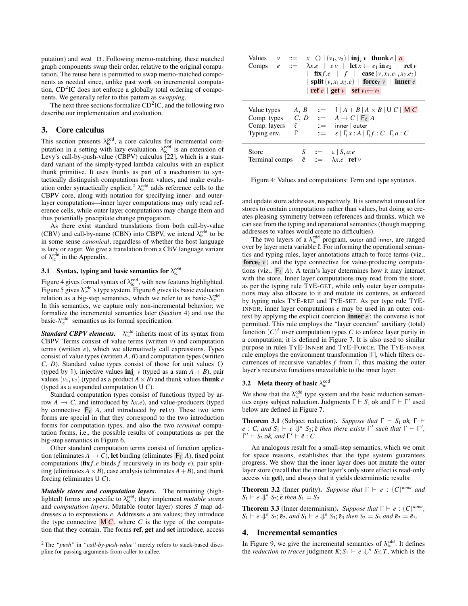putation) and eval l3 . Following memo-matching, these matched graph components swap their order, relative to the original computation. The reuse here is permitted to swap memo-matched components as needed since, unlike past work on incremental computation,  $CD<sup>2</sup>IC$  does not enforce a globally total ordering of components. We generally refer to this pattern as *swapping*.

The next three sections formalize  $CD<sup>2</sup>IC$ , and the following two describe our implementation and evaluation.

#### 3. Core calculus

This section presents  $\lambda_{\rm ic}^{\rm cdd}$ , a core calculus for incremental computation in a setting with lazy evaluation.  $\lambda_{ic}^{\text{cdd}}$  is an extension of Levy's call-by-push-value (CBPV) calculus [22], which is a standard variant of the simply-typed lambda calculus with an explicit thunk primitive. It uses thunks as part of a mechanism to syntactically distinguish computations from values, and make evaluation order syntactically explicit.<sup>2</sup>  $\lambda_{ic}^{\text{cdd}}$  adds reference cells to the CBPV core, along with notation for specifying inner- and outerlayer computations—inner layer computations may only read reference cells, while outer layer computations may change them and thus potentially precipitate change propagation.

As there exist standard translations from both call-by-value (CBV) and call-by-name (CBN) into CBPV, we intend  $\lambda_{\text{ic}}^{\text{cdd}}$  to be in some sense *canonical*, regardless of whether the host language is lazy or eager. We give a translation from a CBV language variant of  $\lambda_{ic}^{cdd}$  in the Appendix.

# 3.1 Syntax, typing and basic semantics for  $\lambda_{\text{ic}}^{\text{cdd}}$

Figure 4 gives formal syntax of  $\lambda_{\text{ic}}^{\text{cdd}}$ , with new features highlighted. Figure 5 gives  $\lambda_{ic}^{cdd}$ 's type system. Figure 6 gives its basic evaluation relation as a big-step semantics, which we refer to as basic-λ<sup>cdd</sup>. In this semantics, we capture only non-incremental behavior; we formalize the incremental semantics later (Section 4) and use the basic- $\lambda_{\text{ic}}^{\text{cdd}}$  semantics as its formal specification.

**Standard CBPV elements.**  $\lambda_{\text{ic}}^{\text{cdd}}$  inherits most of its syntax from CBPV. Terms consist of value terms (written *v*) and computation terms (written *e*), which we alternatively call expressions. Types consist of value types (written *A*, *B*) and computation types (written *C*, *D*). Standard value types consist of those for unit values () (typed by 1), injective values  $\text{inj}_i$  v (typed as a sum  $A + B$ ), pair values  $(v_1, v_2)$  (typed as a product  $A \times B$ ) and thunk values **thunk** *e* (typed as a suspended computation U *C*).

Standard computation types consist of functions (typed by arrow  $A \rightarrow C$ , and introduced by  $\lambda x.e$ ), and value-producers (typed by connective  $F_{\ell}$  *A*, and introduced by ret *v*). These two term forms are special in that they correspond to the two introduction forms for computation types, and also the two *terminal* computation forms, i.e., the possible results of computations as per the big-step semantics in Figure 6.

Other standard computation terms consist of function application (eliminates  $A \to C$ ), let binding (eliminates  $F_{\ell}$  *A*), fixed point computations ( $\textbf{fix} f.e$  binds  $f$  recursively in its body  $e$ ), pair splitting (eliminates  $A \times B$ ), case analysis (eliminates  $A + B$ ), and thunk forcing (eliminates U *C*).

*Mutable stores and computation layers.* The remaining (highlighted) forms are specific to  $\lambda_{\text{ic}}^{\text{cdd}}$ ; they implement *mutable stores* and *computation layers*. Mutable (outer layer) stores *S* map addresses *a* to expressions *e*. Addresses *a* are values; they introduce the type connective  $\overline{MC}$ , where *C* is the type of the computation that they contain. The forms ref, get and set introduce, access

| Values<br>Comps                                                                                | $v$ $\equiv$<br>$e \cong$ | x   () $  (v_1, v_2)  $ inj <sub>i</sub> v   thunk e   a<br>$\lambda x.e \mid ev \mid \textbf{let } x \leftarrow e_1 \textbf{ in } e_2 \mid \textbf{ret } v$<br><b>fix</b> $f.e$   $f$   <b>case</b> $(v, x_1, e_1, x_2, e_2)$<br>  split $(v, x_1.x_2.e)$   force <sub><math>\ell</math></sub> $\nu$   inner <i>e</i><br>ref e   get v   set $v_1 \leftarrow v_2$ |
|------------------------------------------------------------------------------------------------|---------------------------|--------------------------------------------------------------------------------------------------------------------------------------------------------------------------------------------------------------------------------------------------------------------------------------------------------------------------------------------------------------------|
| Value types<br>Comp. layers<br>Typing env.                                                     | $\Gamma$                  | A, B $\equiv 1  A + B  A \times B  U  C  M  C$<br>Comp. types $C, D ::= A \rightarrow C   F_{\ell} A$<br>$\ell$ ::= inner   outer<br>$\equiv \epsilon   \Gamma, x : A   \Gamma, f : C   \Gamma, a : C$                                                                                                                                                             |
| Store $S := \varepsilon   S, a.e$<br>Terminal comps $\tilde{e} := \lambda x.e   \text{ret } v$ |                           |                                                                                                                                                                                                                                                                                                                                                                    |

Figure 4: Values and computations: Term and type syntaxes.

and update store addresses, respectively. It is somewhat unusual for stores to contain computations rather than values, but doing so creates pleasing symmetry between references and thunks, which we can see from the typing and operational semantics (though mapping addresses to values would create no difficulties).

The two layers of a  $\lambda_{ic}^{cdd}$  program, outer and inner, are ranged over by layer meta variable  $\ell$ . For informing the operational semantics and typing rules, layer annotations attach to force terms (viz., **force**  $\ell$  *v* ) and the type connective for value-producing computations (viz.,  $F_{\ell}$  *A*). A term's layer determines how it may interact with the store. Inner layer computations may read from the store, as per the typing rule TYE-GET, while only outer layer computations may also allocate to it and mutate its contents, as enforced by typing rules TYE-REF and TYE-SET. As per type rule TYE-INNER, inner layer computations *e* may be used in an outer context by applying the explicit coercion inner *e* ; the converse is not permitted. This rule employs the "layer coercion" auxiliary (total) function  $(C)^{\ell}$  over computation types *C* to enforce layer purity in a computation; it is defined in Figure 7. It is also used to similar purpose in rules TYE-INNER and TYE-FORCE. The TYE-INNER rule employs the environment transformation  $|\Gamma|$ , which filters occurrences of recursive variables  $f$  from  $\Gamma$ , thus making the outer layer's recursive functions unavailable to the inner layer.

# 3.2 Meta theory of basic  $\lambda_{ic}^{\text{cdd}}$

We show that the  $\lambda_{\text{ic}}^{\text{cdd}}$  type system and the basic reduction semantics enjoy subject reduction. Judgments  $\Gamma \vdash S_1$  ok and  $\Gamma \vdash \Gamma'$  used below are defined in Figure 7.

**Theorem 3.1** (Subject reduction). *Suppose that*  $\Gamma \vdash S_1$  ok,  $\Gamma \vdash$ *e* : *C, and*  $S_1 \vdash e \Downarrow^n S_2$ ;  $\tilde{e}$  *then there exists*  $\Gamma'$  *such that*  $\Gamma \vdash \Gamma'$ ,  $\Gamma' \vdash S$  *ok and*  $\Gamma' \vdash \tilde{e} \cdot C$  $\Gamma' \vdash S_2$  ok, and  $\Gamma' \vdash \tilde{e} : C$ 

An analogous result for a small-step semantics, which we omit for space reasons, establishes that the type system guarantees progress. We show that the inner layer does not mutate the outer layer store (recall that the inner layer's only store effect is read-only access via get), and always that it yields deterministic results:

**Theorem 3.2** (Inner purity). *Suppose that*  $\Gamma \vdash e : (C)^{inner}$  *and*  $S_1 \vdash e \Downarrow^n S_2$ ;  $\tilde{e}$  *then*  $S_1 = S_2$ .

**Theorem 3.3** (Inner determinism). *Suppose that*  $\Gamma \vdash e : (C)^{inner}$ ,  $S_1 \vdash e \Downarrow^n S_2$ ;  $\tilde{e}_2$ *, and*  $S_1 \vdash e \Downarrow^n S_3$ ;  $\tilde{e}_3$  *then*  $S_2 = S_3$  *and*  $\tilde{e}_2 = \tilde{e}_3$ *.* 

#### 4. Incremental semantics

In Figure 9, we give the incremental semantics of  $\lambda_{\text{ic}}^{\text{cdd}}$ . It defines the *reduction to traces* judgment  $K; S_1 \vdash e \Downarrow^n S_2; T$ , which is the

<sup>2</sup> The *"push"* in *"call-by-push-value"* merely refers to stack-based discipline for passing arguments from caller to callee.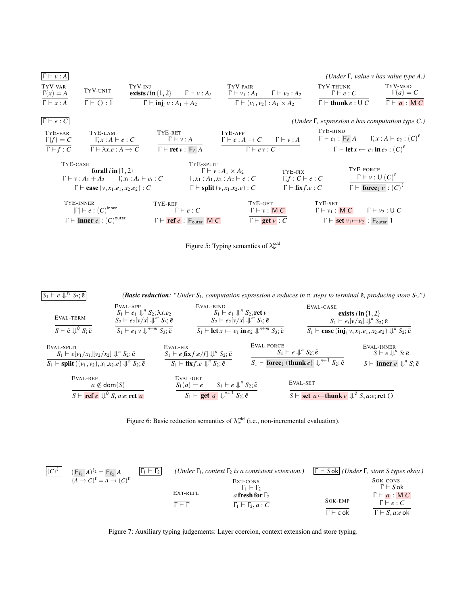



 $S_1 \vdash e \Downarrow^n$ *S*2; e˜ *(Basic reduction: "Under S*1*, computation expression e reduces in* n *steps to terminal* e˜*, producing store S*2*.")* EVAL-TERM  $S \vdash \tilde{e} \Downarrow^0 S; \tilde{e}$ EVAL-APP  $S_1 \vdash e_1 \Downarrow^n S_2; \lambda x.e_2$ <br> $S_2 \vdash e_2 \vdash (x) \Downarrow^n S_2; \lambda x.e_2$  $S_2 \vdash e_2[\nu/x] \Downarrow^m S_3; \tilde{e}$  $S_1 \vdash e_1 \vee \Downarrow^{n+m} S_3$ ;  $\tilde{e}$ EVAL-BIND<br> $S_1 \vdash e_1 \Downarrow^n S_2;$  ret *v*<br> $S_2 \vdash e_2$  by  $\downarrow^n$   $\downarrow^n$   $S_2$ ;  $S_2 \vdash e_2[\nu/x] \Downarrow^m S_3; \tilde{e}$  $S_1 \vdash \textbf{let } x \leftarrow e_1 \textbf{ in } e_2 \Downarrow^{n+m} S_3; \tilde{e}$ EVAL-CASE<br>**exists** *i* in  $\{1, 2\}$  $S_1 \vdash e_i[v/x_i] \Downarrow^n S_2; \tilde{e}$  $S_1 \vdash \textbf{case}(\textbf{inj}_i \nu, x_1.e_1, x_2.e_2) \Downarrow^n S_2; \tilde{e}$ EVAL-SPLIT<br>  $S_1 \vdash e[v_1/x_1][v_2/x_2] \Downarrow^n S_2; \tilde{e}$  $S_1 \vdash \textbf{split}((v_1, v_2), x_1.x_2.e) \Downarrow^n S_2; \tilde{e}$ EVAL-FIX<br>  $S_1 \vdash e[\mathbf{f} \mathbf{x} f.e/f] \Downarrow^n S_2; \tilde{e}$  $S_1 \vdash \mathbf{fix} f.e \Downarrow^n S_2; \tilde{e}$ EVAL-FORCE<br> $S_1 \vdash e \Downarrow^n S_2; \tilde{e}$  $S_1 \vdash \textbf{force}_{\ell} \text{ (thunk } e) \Downarrow^{n+1} S_2$ ;  $\tilde{e}$ EVAL-INNER<br> $S \vdash e \Downarrow^n S; \tilde{e}$  $S \vdash$  **inner**  $e \downarrow \psi^n S; \tilde{e}$ EVAL-REF<br> $a \notin \text{dom}(S)$ *S*  $\vdash$  **ref** *e*  $\Downarrow$ <sup>0</sup> *S*, *a*:*e*; ret *a* EVAL-GET<br>  $S_1(a) = e$   $S_1 \vdash e \Downarrow^n S_2; \tilde{e}$  $S_1 \vdash \textbf{get } a \Downarrow^{n+1} S_2; \tilde{e}$ EVAL-SET  $S \vdash \textbf{set } a \longleftarrow \textbf{thunk } e \downarrow^{\circ} S, a.e; \textbf{ret } \textbf{O}$ 

Figure 6: Basic reduction semantics of  $\lambda_{ic}^{\text{cdd}}$  (i.e., non-incremental evaluation).



Figure 7: Auxiliary typing judgements: Layer coercion, context extension and store typing.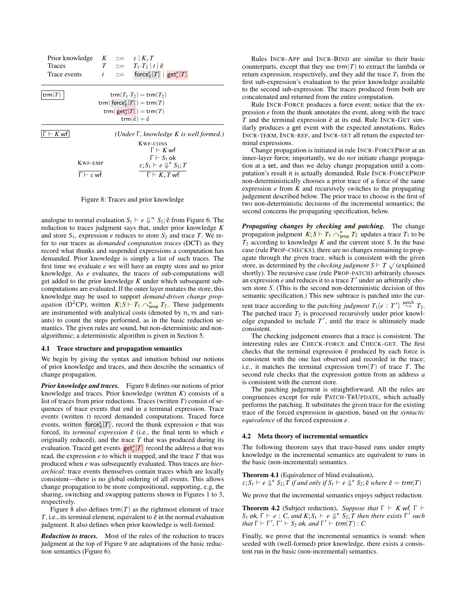| Prior knowledge $K := \varepsilon   K, T$<br><b>Traces</b> |  | $T \quad ::= \quad T_1 \cdot T_2 \mid t \mid \tilde{e}$                    |
|------------------------------------------------------------|--|----------------------------------------------------------------------------|
| Trace events                                               |  | $t$ := force $\mathcal{E}_{\tilde{e}}[T]$   $\mathsf{get}_{e}^{\alpha}[T]$ |
| trm $(T)$                                                  |  | $\text{trm}(T_1 \cdot T_2) = \text{trm}(T_2)$                              |
|                                                            |  | trm( $force^e_{\tilde{e}}[T]) = \text{trm}(T)$                             |
|                                                            |  | trm( $get_e^a[T]$ ) = trm(T)                                               |
|                                                            |  | $trm(\tilde{e}) = \tilde{e}$                                               |
| - <i>K</i> wfl                                             |  | (Under $\Gamma$ , knowledge K is well formed.)                             |
|                                                            |  | KWF-CONS                                                                   |
|                                                            |  | $\Gamma \vdash K$ wf                                                       |
|                                                            |  | $\Gamma \vdash S_1$ ok                                                     |
| <b>KWF-EMP</b>                                             |  | $\varepsilon$ ; $S_1 \vdash e \Downarrow^n S_2$ ; T                        |
| $\Gamma \vdash \varepsilon$ wf                             |  | $\Gamma \vdash K, T$ wf                                                    |

Figure 8: Traces and prior knowledge

analogue to normal evaluation  $S_1 \vdash e \Downarrow^n S_2$ ;  $\tilde{e}$  from Figure 6. The reduction to traces independent only that under prior knowledge K reduction to traces judgment says that, under prior knowledge *K* and store  $S_1$ , expression *e* reduces to store  $S_2$  and trace *T*. We refer to our traces as *demanded computation traces* (DCT) as they record what thunks and suspended expressions a computation has demanded. Prior knowledge is simply a list of such traces. The first time we evaluate *e* we will have an empty store and no prior knowledge. As *e* evaluates, the traces of sub-computations will get added to the prior knowledge *K* under which subsequent subcomputations are evaluated. If the outer layer mutates the store, this knowledge may be used to support *demand-driven change propagation* (D<sup>2</sup>CP), written  $K; S \vdash T_1 \curvearrowright_{\text{prop}}^n T_2$ . These judgements are instrumented with analytical costs (denoted by n, m and variants) to count the steps performed, as in the basic reduction semantics. The given rules are sound, but non-deterministic and nonalgorithmic; a deterministic algorithm is given in Section 5.

#### 4.1 Trace structure and propagation semantics

We begin by giving the syntax and intuition behind our notions of prior knowledge and traces, and then describe the semantics of change propagation.

*Prior knowledge and traces.* Figure 8 defines our notions of prior knowledge and traces. Prior knowledge (written *K*) consists of a list of traces from prior reductions. Traces (written *T*) consist of sequences of trace events that end in a terminal expression. Trace events (written *t*) record demanded computations. Traced force events, written force  $\epsilon \in [T]$ , record the thunk expression *e* that was forced, its *terminal expression*  $\tilde{e}$  (i.e., the final term to which *e* originally reduced), and the trace *T* that was produced during its evaluation. Traced get events  $\text{get}_e^a[T]$  record the address *a* that was read, the expression *e* to which it mapped, and the trace *T* that was produced when *e* was subsequently evaluated. Thus traces are *hierarchical*: trace events themselves contain traces which are locally consistent—there is no global ordering of all events. This allows change propagation to be more compositional, supporting, e.g, the sharing, switching and swapping patterns shown in Figures 1 to 3, respectively.

Figure 8 also defines  $\text{trm}(T)$  as the rightmost element of trace  $T$ , i.e., its terminal element, equivalent to  $\tilde{e}$  in the normal evaluation judgment. It also defines when prior knowledge is well-formed.

*Reduction to traces.* Most of the rules of the reduction to traces judgment at the top of Figure 9 are adaptations of the basic reduction semantics (Figure 6).

Rules INCR-APP and INCR-BIND are similar to their basic counterparts, except that they use  $\text{trm}(T)$  to extract the lambda or return expression, respectively, and they add the trace  $T_1$  from the first sub-expression's evaluation to the prior knowledge available to the second sub-expression. The traces produced from both are concatenated and returned from the entire computation.

Rule INCR-FORCE produces a force event; notice that the expression *e* from the thunk annotates the event, along with the trace  $T$  and the terminal expression  $\tilde{e}$  at its end. Rule INCR-GET similarly produces a get event with the expected annotations. Rules INCR-TERM, INCR-REF, and INCR-SET all return the expected terminal expressions.

Change propagation is initiated in rule INCR-FORCEPROP at an inner-layer force; importantly, we do *not* initiate change propagation at a set, and thus we delay change propagation until a computation's result it is actually demanded. Rule INCR-FORCEPROP non-deterministically chooses a prior trace of a force of the same expression *e* from *K* and recursively switches to the propagating judgement described below. The prior trace to choose is the first of two non-deterministic decisions of the incremental semantics; the second concerns the propagating specification, below.

*Propagating changes by checking and patching.* The change propagation judgment  $K; S \vdash T_1 \curvearrowright^n_{\text{prop}} T_2$  updates a trace  $T_1$  to be *T*<sup>2</sup> according to knowledge *K* and the current store *S*. In the base case (rule PROP-CHECKS), there are no changes remaining to propagate through the given trace, which is consistent with the given agate through the given trace, which is consistent with the given<br>store, as determined by the *checking judgment*  $S \vdash T \sqrt{ }$  (explained shortly). The recursive case (rule PROP-PATCH) arbitrarily chooses an expression  $e$  and reduces it to a trace  $T'$  under an arbitrarily chosen store *S*. (This is the second non-deterministic decision of this semantic specification.) This new subtrace is patched into the current trace according to the *patching judgment*  $T_1\{e : T'\} \stackrel{\text{patch}}{\sim} T_2$ . The patched trace  $T_2$  is processed recursively under prior knowledge expanded to include  $T'$ , until the trace is ultimately made consistent.

The checking judgement ensures that a trace is consistent. The interesting rules are CHECK-FORCE and CHECK-GET. The first checks that the terminal expression  $\tilde{e}$  produced by each force is consistent with the one last observed and recorded in the trace; i.e., it matches the terminal expression  $\text{trm}(T)$  of trace *T*. The second rule checks that the expression gotten from an address *a* is consistent with the current store.

The patching judgement is straightforward. All the rules are congruences except for rule PATCH-TRUPDATE, which actually performs the patching. It substitutes the given trace for the existing trace of the forced expression in question, based on the *syntactic equivalence* of the forced expression *e*.

#### 4.2 Meta theory of incremental semantics

The following theorem says that trace-based runs under empty knowledge in the incremental semantics are equivalent to runs in the basic (non-incremental) semantics.

Theorem 4.1 (Equivalence of blind evaluation).  $\varepsilon$ ;  $S_1 \vdash e \Downarrow^n S_2$ ;  $\hat{T}$  *if and only if*  $S_1 \vdash e \Downarrow^n S_2$ ;  $\tilde{e}$  *where*  $\tilde{e} = \text{trm}(T)$ 

We prove that the incremental semantics enjoys subject reduction.

**Theorem 4.2** (Subject reduction). *Suppose that*  $\Gamma \vdash K$  wf,  $\Gamma \vdash$ *S*<sub>1</sub> ok,  $\Gamma \vdash e : C$ , and  $K; S_1 \vdash e \Downarrow^n S_2; T$  then there exists  $\Gamma'$  such that  $\Gamma \vdash \Gamma' \vdash S$ , also and  $\Gamma' \vdash \text{trem}(T) : C$ *that*  $\Gamma \vdash \Gamma'$ ,  $\Gamma' \vdash S_2$  *ok, and*  $\Gamma' \vdash \mathit{trm}(T) : C$ 

Finally, we prove that the incremental semantics is sound: when seeded with (well-formed) prior knowledge, there exists a consistent run in the basic (non-incremental) semantics.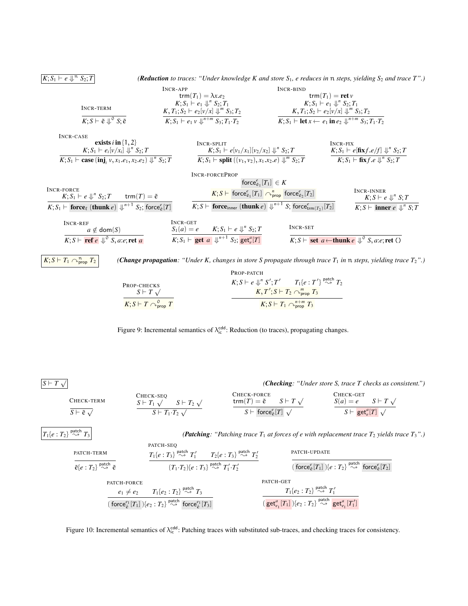*(Reduction to traces: "Under knowledge K and store*  $S_1$ *, e reduces in*  $\pi$  *steps, yielding*  $S_2$  *and trace*  $T$ ".)

|                                                   | $INCR-APP$                                                | INCR-BIND                                                                                            |
|---------------------------------------------------|-----------------------------------------------------------|------------------------------------------------------------------------------------------------------|
|                                                   | trm $(T_1) = \lambda x.e_2$                               | $\text{trm}(T_1) = \text{ret } v$                                                                    |
|                                                   | $K; S_1 \vdash e_1 \Downarrow^n S_2; T_1$                 | $K: S_1 \vdash e_1 \Downarrow^n S_2; T_1$                                                            |
| INCR-TERM                                         | $K, T_1; S_2 \vdash e_2[v/x] \Downarrow^m S_3; T_2$       | $K, T_1; S_2 \vdash e_2[v/x] \Downarrow^m S_3; T_2$                                                  |
| $K; S \vdash \tilde{e} \Downarrow^0 S; \tilde{e}$ | $K; S_1 \vdash e_1 v \Downarrow^{n+m} S_3; T_1 \cdot T_2$ | $K; S_1 \vdash \textbf{let } x \leftarrow e_1 \textbf{ in } e_2 \Downarrow^{n+m} S_3; T_1 \cdot T_2$ |

| INCR-CASE                                                                                                           |                                                                                                                             |                                                                                                                           |
|---------------------------------------------------------------------------------------------------------------------|-----------------------------------------------------------------------------------------------------------------------------|---------------------------------------------------------------------------------------------------------------------------|
| exists $i$ in $\{1, 2\}$                                                                                            | <b>INCR-SPLIT</b>                                                                                                           | <b>INCR-FIX</b>                                                                                                           |
| $K; S_1 \vdash e_i[v/x_i] \Downarrow^n S_2; T$                                                                      | $K; S_1 \vdash e[v_1/x_1][v_2/x_2] \Downarrow^n S_2; T$                                                                     | $K; S_1 \vdash e[\mathbf{fix} f.e/f] \Downarrow^n S_2; T$                                                                 |
| $K; S_1 \vdash \textbf{case} (\textbf{inj}, v, x_1, e_1, x_2, e_2) \Downarrow^n S_2; T$                             | $K; S_1 \vdash \textbf{split} ((v_1, v_2), x_1, x_2, e) \Downarrow^m S_2; T$                                                | $K; S_1 \vdash \mathbf{fix} f.e \Downarrow^n S_2; T$                                                                      |
|                                                                                                                     | <b>INCR-FORCEPROP</b>                                                                                                       |                                                                                                                           |
|                                                                                                                     | force $_{\tilde{e}_1}^e[T_1] \in K$                                                                                         |                                                                                                                           |
| INCR-FORCE<br>trm $(T)=\tilde{e}$<br>$K: S_1 \vdash e \Downarrow^n S_2$ : T                                         | $K; S \vdash$ force ${}_{\tilde{e}_1}^e[T_1] \curvearrowright_{prop}^n$ force ${}_{\tilde{e}_2}^e[T_2]$                     | <b>INCR-INNER</b><br>$K: S \vdash e \Downarrow^n S: T$                                                                    |
| $K; S_1 \vdash$ force <sub><math>\ell</math></sub> (thunk $e) \downarrow^{n+1}$<br>$S_2$ ; force $\epsilon \in [T]$ | $K; S \vdash$ force <sub>inner</sub> (thunk e) $\Downarrow^{n+1} S$ ; force <sub>trm(T<sub>2</sub>)</sub> [T <sub>2</sub> ] | $K; S \vdash$ inner $e \Downarrow^n S; T$                                                                                 |
| INCR-REF                                                                                                            | INCR-GET                                                                                                                    |                                                                                                                           |
| $a \notin \text{dom}(S)$                                                                                            | $K; S_1 \vdash e \Downarrow^n S_2; T$<br>$S_1(a) = e$                                                                       | INCR-SET                                                                                                                  |
| $K; S \vdash \textbf{ref } e \Downarrow^{\circ} S, a.e; \textbf{ret } a$                                            | $K; S_1 \vdash \textbf{get } a \Downarrow^{n+1} S_2; \textbf{get}_e^a[T]$                                                   | $K; S \vdash$ set a $\leftarrow$ thunk e $\Downarrow^{\circ} S$ , a:e; ret ()                                             |
|                                                                                                                     |                                                                                                                             |                                                                                                                           |
| $K; S \vdash T_1 \cap_{\text{prop}}^n T_2$                                                                          |                                                                                                                             | <b>(Change propagation:</b> "Under K, changes in store S propagate through trace $T_1$ in n steps, yielding trace $T_2$ ' |

|                                                      | PROP-PATCH                                                                                |
|------------------------------------------------------|-------------------------------------------------------------------------------------------|
| PROP-CHECKS                                          | $K; S \vdash e \Downarrow^n S'; T'$ $T_1\{e : T'\} \stackrel{\text{patch}}{\leadsto} T_2$ |
| $S \vdash T \sqrt{ }$                                | $K, T'; S \vdash T_2 \curvearrowright_{\text{prop}}^m T_3$                                |
| $K; S \vdash T \curvearrowright^0$ <sub>prop</sub> T | $K; S \vdash T_1 \curvearrowright^{n+m}_{\text{prop}} T_3$                                |

Figure 9: Incremental semantics of  $\lambda_{ic}^{cdd}$ : Reduction (to traces), propagating changes.

 $S \vdash T \sqrt{}$ 

 $K; S_1 \vdash e \Downarrow^n$ 

*(Checking: "Under store S, trace T checks as consistent.")*

| CHECK-TERM                      | CHECK-SEO                             | CHECK-FORCE                                   | CHECK-GET                                 |
|---------------------------------|---------------------------------------|-----------------------------------------------|-------------------------------------------|
|                                 | $S \vdash T_1 \vee S \vdash T_2 \vee$ | trm $(T) = \tilde{e}$ $S \vdash T \sqrt{ }$   | $S(a) = e \qquad S \vdash T \sqrt{ }$     |
| $S \vdash \tilde{e}$ $\sqrt{ }$ | $S \vdash T_1 \cdot T_2 \sqrt{ }$     | $S \vdash$ force $_{\tilde{e}}^e[T] \sqrt{ }$ | $S \vdash \mathsf{get}^a_{e}[T] \sqrt{ }$ |

 $T_1\{e: T_2\} \stackrel{\overline{\text{patch}}}{\leadsto} \overline{T_3}$ 

patch ❀ *T*<sup>3</sup> *(Patching: "Patching trace T*<sup>1</sup> *at forces of e with replacement trace T*<sup>2</sup> *yields trace T*3*".)*

| PATH-TERM                                                                  | PATH-TERM                                                                |                                                     |                                                                                      |
|----------------------------------------------------------------------------|--------------------------------------------------------------------------|-----------------------------------------------------|--------------------------------------------------------------------------------------|
| $\overline{e}\{e:T_2\} \stackrel{\text{patch}}{\sim} \overline{e}$         | $T_1\{e:T_3\} \stackrel{\text{patch}}{\sim} T_1'$                        | $T_2\{e:T_3\} \stackrel{\text{patch}}{\sim} T_2'$   | $\text{PATCH-UPDATE}$                                                                |
| $\overline{e}\{e:T_2\} \stackrel{\text{patch}}{\sim} \overline{e}$         | $(T_1 \cdot T_2)\{e:T_3\} \stackrel{\text{patch}}{\sim} T_1'$            | $T_2\{e:T_3\} \stackrel{\text{patch}}{\sim} T_2'$   | $\overline{(force_e^e[T_1] )\{e:T_2\} \stackrel{\text{patch}}{\sim} force_e^e[T_2]}$ |
| PATH-FORCE                                                                 | $PATCH-GER$                                                              | $T_1\{e_2:T_2\} \stackrel{\text{patch}}{\sim} T_1'$ |                                                                                      |
| $\overline{(force_e^e[T_1] )\{e:T_2\} \stackrel{\text{patch}}{\sim} T_1'}$ | $\overline{(get_e^e[T_1] )\{e:T_2\} \stackrel{\text{patch}}{\sim} T_1'}$ |                                                     |                                                                                      |

Figure 10: Incremental semantics of  $\lambda_{ic}^{cdd}$ : Patching traces with substituted sub-traces, and checking traces for consistency.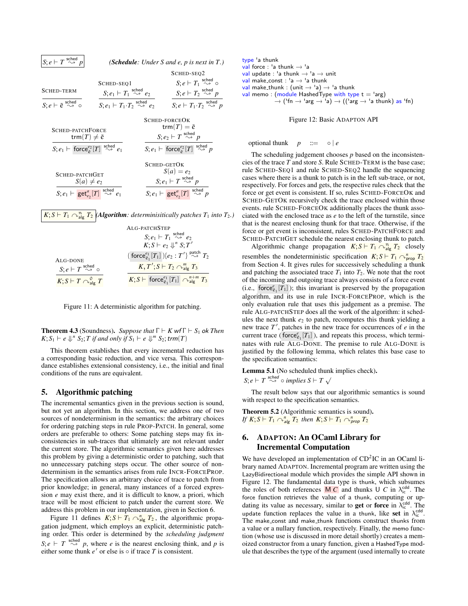| $S; e \vdash T \overset{\text{sched}}{\rightsquigarrow} p$                                   | ( <b>Schedule</b> : Under S and e, p is next in $T$ .)                     |                                                                                     |                                                                                    |  |  |  |
|----------------------------------------------------------------------------------------------|----------------------------------------------------------------------------|-------------------------------------------------------------------------------------|------------------------------------------------------------------------------------|--|--|--|
|                                                                                              |                                                                            |                                                                                     | SCHED-SEQ2                                                                         |  |  |  |
|                                                                                              | SCHED-SEQ1                                                                 |                                                                                     | $S; e \vdash T_1 \overset{\text{sched}}{\rightsquigarrow} \circ$                   |  |  |  |
| <b>SCHED-TERM</b>                                                                            | $S; e_1 \vdash T_1 \overset{\text{sched}}{\rightsquigarrow} e_2$           |                                                                                     | $S; e \vdash T_2 \overset{\text{sched}}{\rightsquigarrow} p$                       |  |  |  |
| $S; e \vdash \tilde{e} \overset{\text{sched}}{\leadsto} \circ$                               | $S; e_1 \vdash T_1 \cdot T_2 \overset{\text{sched}}{\rightsquigarrow} e_2$ |                                                                                     | $S: e \vdash T_1 \cdot T_2 \overset{\text{sched}}{\rightsquigarrow} p$             |  |  |  |
|                                                                                              |                                                                            |                                                                                     | SCHED-FORCEOK                                                                      |  |  |  |
| SCHED-PATCHFORCE                                                                             |                                                                            |                                                                                     | trm $(T) = \tilde{e}$                                                              |  |  |  |
| trm $(T) \neq \tilde{e}$                                                                     |                                                                            | $S; e_2 \vdash T \overset{\text{sched}}{\rightsquigarrow} p$                        |                                                                                    |  |  |  |
| $S; e_1 \vdash$ force $e_{\tilde{e}}^{e_2}[T] \stackrel{\text{sched}}{\rightsquigarrow} e_1$ |                                                                            | $S; e_1 \vdash \text{force}^{e_2}_{\tilde{\rho}}[T] \overset{\text{sched}}{\sim} p$ |                                                                                    |  |  |  |
|                                                                                              |                                                                            |                                                                                     | SCHED-GETOK                                                                        |  |  |  |
| SCHED-PATCHGET                                                                               |                                                                            |                                                                                     | $S(a) = e_2$                                                                       |  |  |  |
| $S(a) \neq e_2$                                                                              |                                                                            |                                                                                     | $S; e_1 \vdash T \overset{\text{sched}}{\rightsquigarrow} p$                       |  |  |  |
| $S; e_1 \vdash \mathsf{get}_{e_2}^a[T] \overset{\text{sched}}{\rightsquigarrow} e_1$         |                                                                            |                                                                                     | $S; e_1 \vdash \mathsf{get}_{e_2}^a[T] \overset{\text{sched}}{\rightsquigarrow} p$ |  |  |  |

# $K; S \vdash T_1 \curvearrowright^{\mathfrak{n}}_{\mathsf{alg}} T_2$  *(Algorithm: determinisitically patches T*<sub>1</sub> *into T*<sub>2</sub>*.)*

|                                                                | ALG-PATCHSTEP                                                                                |
|----------------------------------------------------------------|----------------------------------------------------------------------------------------------|
|                                                                | $S; e_1 \vdash T_1 \overset{\text{sched}}{\rightsquigarrow} e_2$                             |
|                                                                | $K; S \vdash e_2 \Downarrow^n S; T'$                                                         |
| ALG-DONE                                                       | $(\;\textsf{force}^{e_1}_{\tilde{e}_1}[T_1]\;)\{e_2:T'\}\stackrel{\textsf{patch}}{\sim} T_2$ |
| $S; e \vdash T \overset{\text{sched}}{\rightsquigarrow} \circ$ | $K, T'; S \vdash T_2 \curvearrowright^m_{\text{alg}} T_3$                                    |
| $K; S \vdash T \curvearrowright^0_{\text{alg}} T$              | $K; S \vdash$ force $e_{\tilde{e}_1}^{e_1}[T_1] \cap_{\text{alg}}^{n+m} T_3$                 |

Figure 11: A deterministic algorithm for patching.

**Theorem 4.3** (Soundness). *Suppose that*  $\Gamma \vdash K$  wf $\Gamma \vdash S_1$  ok *Then*  $K; S_1 \vdash e \Downarrow^n S_2; T \text{ if and only if } S_1 \vdash e \Downarrow^m S_2; \text{trm}(T)$ 

This theorem establishes that every incremental reduction has a corresponding basic reduction, and vice versa. This correspondance establishes extensional consistency, i.e., the initial and final conditions of the runs are equivalent.

#### 5. Algorithmic patching

The incremental semantics given in the previous section is sound, but not yet an algorithm. In this section, we address one of two sources of nondeterminism in the semantics: the arbitrary choices for ordering patching steps in rule PROP-PATCH. In general, some orders are preferable to others: Some patching steps may fix inconsistencies in sub-traces that ultimately are not relevant under the current store. The algorithmic semantics given here addresses this problem by giving a deterministic order to patching, such that no unnecessary patching steps occur. The other source of nondeterminism in the semantics arises from rule INCR-FORCEPROP. The specification allows an arbitrary choice of trace to patch from prior knowledge; in general, many instances of a forced expression *e* may exist there, and it is difficult to know, a priori, which trace will be most efficient to patch under the current store. We address this problem in our implementation, given in Section 6.

Figure 11 defines  $K; S \vdash T_1 \curvearrowright^n_{\text{alg}} T_2$ , the algorithmic propagation judgment, which employs an explicit, deterministic patching order. This order is determined by the *scheduling judgment*  $S; e \vdash T \overset{\text{sched}}{\sim} p$ , where *e* is the nearest enclosing think, and *p* is either some thunk  $e'$  or else is  $\circ$  if trace  $T$  is consistent.

\n
$$
\text{type } \text{a thunk}
$$
\n $\text{val force } \text{a thunk} \rightarrow \text{a}$ \n

\n\n $\text{val update } \text{a thunk} \rightarrow \text{a } \text{a tanh}$ \n

\n\n $\text{val make\_const } \text{a} \rightarrow \text{a thunk}$ \n

\n\n $\text{val make\_thunk } \text{a thunk}$ \n

\n\n $\text{val make\_thunk } \text{a thunk}$ \n

\n\n $\text{val memo } \text{model HashedType with type } t = \text{arg}$ \n

\n\n $\rightarrow \text{('fn } \rightarrow \text{'arg } \rightarrow \text{'a}) \rightarrow \text{(('arg } \rightarrow \text{'a thunk) as 'fn)}$ \n

Figure 12: Basic ADAPTON API

optional thunk  $p ::= \circ | e$ 

The scheduling judgement chooses *p* based on the inconsistencies of the trace *T* and store *S*. Rule SCHED-TERM is the base case; rule SCHED-SEQ1 and rule SCHED-SEQ2 handle the sequencing cases where there is a thunk to patch is in the left sub-trace, or not, respectively. For forces and gets, the respective rules check that the force or get event is consistent. If so, rules SCHED-FORCEOK and SCHED-GETOK recursively check the trace enclosed within those events. rule SCHED-FORCEOK additionally places the thunk associated with the enclosed trace as *e* to the left of the turnstile, since that is the nearest enclosing thunk for that trace. Otherwise, if the force or get event is inconsistent, rules SCHED-PATCHFORCE and SCHED-PATCHGET schedule the nearest enclosing thunk to patch.

Algorithmic change propagation  $K; S \vdash T_1 \cap_{\text{alg}}^n T_2$  closely resembles the nondeterministic specification  $K; S \vdash T_1 \curvearrowright_{\text{prop}}^n T_2$ from Section 4. It gives rules for successively scheduling a thunk and patching the associated trace  $T_1$  into  $T_2$ . We note that the root of the incoming and outgoing trace always consists of a force event (i.e.,  $\text{force}_{\bar{e}_1}^e[T_1]$ ); this invariant is preserved by the propagation algorithm, and its use in rule INCR-FORCEPROP, which is the only evaluation rule that uses this judgement as a premise. The rule ALG-PATCHSTEP does all the work of the algorithm: it schedules the next thunk  $e_2$  to patch, recomputes this thunk yielding a new trace T', patches in the new trace for occurrences of *e* in the current trace ( $\overline{\text{force}}_{\tilde{e}_1}^e[T_1]$ ), and repeats this process, which terminates with rule ALG-DONE. The premise to rule ALG-DONE is justified by the following lemma, which relates this base case to the specification semantics:

#### Lemma 5.1 (No scheduled thunk implies check).

*S*;  $e \vdash T \stackrel{\text{sched}}{\leadsto} \circ \text{implies } S \vdash T \checkmark$ 

The result below says that our algorithmic semantics is sound with respect to the specification semantics.

Theorem 5.2 (Algorithmic semantics is sound). *If*  $K; S \vdash T_1 \curvearrowright$ <sup>n</sup> $\overline{a}$  *Ig T*<sub>2</sub> *then*  $K; S \vdash T_1 \curvearrowright$ <sup>n</sup> $\overline{p}$ <sub>*rop*</sub> *T*<sub>2</sub>

# 6. ADAPTON: An OCaml Library for Incremental Computation

We have developed an implementation of  $CD<sup>2</sup>IC$  in an OCaml library named ADAPTON. Incremental program are written using the LazyBidirectional module which provides the simple API shown in Figure 12. The fundamental data type is thunk, which subsumes the roles of both references  $\overline{M C}$  and thunks U *C* in  $\lambda_{ic}^{cdd}$ . The force function retrieves the value of a thunk, computing or updating its value as necessary, similar to **get** or force in  $\lambda_{ic}^{cdd}$ . The update function replaces the value in a thunk, like set in  $\lambda_{\rm ic}^{\rm cdd}$ . The make\_const and make\_thunk functions construct thunks from a value or a nullary function, respectively. Finally, the memo function (whose use is discussed in more detail shortly) creates a memoized constructor from a unary function, given a HashedType module that describes the type of the argument (used internally to create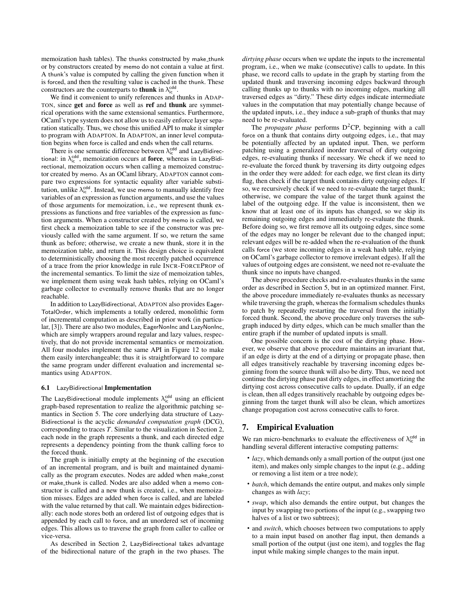memoization hash tables). The thunks constructed by make\_thunk or by constructors created by memo do not contain a value at first. A thunk's value is computed by calling the given function when it is forced, and then the resulting value is cached in the thunk. These constructors are the counterparts to **thunk** in  $\lambda_{ic}^{cdd}$ .

We find it convenient to unify references and thunks in ADAP-TON, since get and force as well as ref and thunk are symmetrical operations with the same extensional semantics. Furthermore, OCaml's type system does not allow us to easily enforce layer separation statically. Thus, we chose this unified API to make it simpler to program with ADAPTON. In ADAPTON, an inner level computation begins when force is called and ends when the call returns.

There is one semantic difference between  $\lambda_{ic}^{cdd}$  and LazyBidirectional: in  $\lambda_{ic}^{cdd}$ , memoization occurs at **force**, whereas in LazyBidirectional, memoization occurs when calling a memoized constructor created by memo. As an OCaml library, ADAPTON cannot compare two expressions for syntactic equality after variable substitution, unlike  $\lambda_{ic}^{cdd}$ . Instead, we use memo to manually identify free variables of an expression as function arguments, and use the values of those arguments for memoization, i.e., we represent thunk expressions as functions and free variables of the expression as function arguments. When a constructor created by memo is called, we first check a memoization table to see if the constructor was previously called with the same argument. If so, we return the same thunk as before; otherwise, we create a new thunk, store it in the memoization table, and return it. This design choice is equivalent to deterministically choosing the most recently patched occurrence of a trace from the prior knowledge in rule INCR-FORCEPROP of the incremental semantics. To limit the size of memoization tables, we implement them using weak hash tables, relying on OCaml's garbage collector to eventually remove thunks that are no longer reachable.

In addition to LazyBidirectional, ADAPTON also provides Eager-TotalOrder, which implements a totally ordered, monolithic form of incremental computation as described in prior work (in particular, [3]). There are also two modules, EagerNonInc and LazyNonInc, which are simply wrappers around regular and lazy values, respectively, that do not provide incremental semantics or memoization. All four modules implement the same API in Figure 12 to make them easily interchangeable; thus it is straightforward to compare the same program under different evaluation and incremental semantics using ADAPTON.

#### 6.1 LazyBidirectional Implementation

The LazyBidirectional module implements  $\lambda_{ic}^{cdd}$  using an efficient graph-based representation to realize the algorithmic patching semantics in Section 5. The core underlying data structure of Lazy-Bidirectional is the acyclic *demanded computation graph* (DCG), corresponding to traces *T*. Similar to the visualization in Section 2, each node in the graph represents a thunk, and each directed edge represents a dependency pointing from the thunk calling force to the forced thunk.

The graph is initially empty at the beginning of the execution of an incremental program, and is built and maintained dynamically as the program executes. Nodes are added when make const or make thunk is called. Nodes are also added when a memo constructor is called and a new thunk is created, i.e., when memoization misses. Edges are added when force is called, and are labeled with the value returned by that call. We maintain edges bidirectionally: each node stores both an ordered list of outgoing edges that is appended by each call to force, and an unordered set of incoming edges. This allows us to traverse the graph from caller to callee or vice-versa.

As described in Section 2, LazyBidirectional takes advantage of the bidirectional nature of the graph in the two phases. The

*dirtying phase* occurs when we update the inputs to the incremental program, i.e., when we make (consecutive) calls to update. In this phase, we record calls to update in the graph by starting from the updated thunk and traversing incoming edges backward through calling thunks up to thunks with no incoming edges, marking all traversed edges as "dirty." These dirty edges indicate intermediate values in the computation that may potentially change because of the updated inputs, i.e., they induce a sub-graph of thunks that may need to be re-evaluated.

The *propagate phase* performs  $D^2CP$ , beginning with a call force on a thunk that contains dirty outgoing edges, i.e., that may be potentially affected by an updated input. Then, we perform patching using a generalized inorder traversal of dirty outgoing edges, re-evaluating thunks if necessary. We check if we need to re-evaluate the forced thunk by traversing its dirty outgoing edges in the order they were added: for each edge, we first clean its dirty flag, then check if the target thunk contains dirty outgoing edges. If so, we recursively check if we need to re-evaluate the target thunk; otherwise, we compare the value of the target thunk against the label of the outgoing edge. If the value is inconsistent, then we know that at least one of its inputs has changed, so we skip its remaining outgoing edges and immediately re-evaluate the thunk. Before doing so, we first remove all its outgoing edges, since some of the edges may no longer be relevant due to the changed input; relevant edges will be re-added when the re-evaluation of the thunk calls force (we store incoming edges in a weak hash table, relying on OCaml's garbage collector to remove irrelevant edges). If all the values of outgoing edges are consistent, we need not re-evaluate the thunk since no inputs have changed.

The above procedure checks and re-evaluates thunks in the same order as described in Section 5, but in an optimized manner. First, the above procedure immediately re-evaluates thunks as necessary while traversing the graph, whereas the formalism schedules thunks to patch by repeatedly restarting the traversal from the initially forced thunk. Second, the above procedure only traverses the subgraph induced by dirty edges, which can be much smaller than the entire graph if the number of updated inputs is small.

One possible concern is the cost of the dirtying phase. However, we observe that above procedure maintains an invariant that, if an edge is dirty at the end of a dirtying or propagate phase, then all edges transitively reachable by traversing incoming edges beginning from the source thunk will also be dirty. Thus, we need not continue the dirtying phase past dirty edges, in effect amortizing the dirtying cost across consecutive calls to update. Dually, if an edge is clean, then all edges transitively reachable by outgoing edges beginning from the target thunk will also be clean, which amortizes change propagation cost across consecutive calls to force.

#### 7. Empirical Evaluation

We ran micro-benchmarks to evaluate the effectiveness of  $\lambda_{\rm ic}^{\rm cdd}$  in handling several different interactive computing patterns:

- *lazy*, which demands only a small portion of the output (just one item), and makes only simple changes to the input (e.g., adding or removing a list item or a tree node);
- *batch*, which demands the entire output, and makes only simple changes as with *lazy*;
- *swap*, which also demands the entire output, but changes the input by swapping two portions of the input (e.g., swapping two halves of a list or two subtrees);
- and *switch*, which chooses between two computations to apply to a main input based on another flag input, then demands a small portion of the output (just one item), and toggles the flag input while making simple changes to the main input.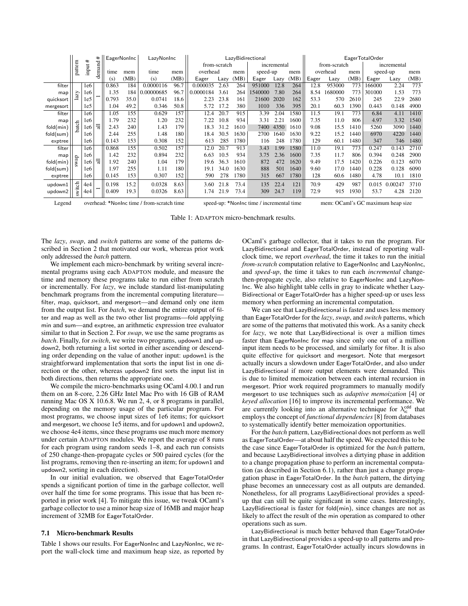|           |                     | #               | #      |       | <b>EagerNonInc</b> | LazyNonInc |      | LazyBidirectional |      |      | EagerTotalOrder |      |      |             |          |      |              |          |      |             |  |
|-----------|---------------------|-----------------|--------|-------|--------------------|------------|------|-------------------|------|------|-----------------|------|------|-------------|----------|------|--------------|----------|------|-------------|--|
| pattern   |                     |                 |        |       |                    |            |      |                   |      |      | from-scratch    |      |      | incremental |          |      | from-scratch |          |      | incremental |  |
|           |                     | input           | demand | time  | mem                | time       | mem  | overhead          |      | mem  | speed-up        |      | mem  |             | overhead | mem  |              | speed-up | mem  |             |  |
|           |                     |                 |        | (s)   | (MB)               | (s)        | (MB) | Eager             | Lazy | (MB) | Eager           | Lazy | (MB) | Eager       | Lazy     | (MB) | Eager        | Lazy     | (MB) |             |  |
| filter    |                     | 1e6             |        | 0.863 | 184                | 0.0000116  | 96.7 | 0.000035          | 2.63 | 264  | 951000          | 12.8 | 264  | 12.8        | 953000   | 773  | 166000       | 2.24     | 773  |             |  |
| map       | $\Sigma$            | 1e6             |        | 1.35  | 184                | 0.00000685 | 96.7 | 0.0000184         | 3.61 | 264  | 1540000         | 7.80 | 264  | 8.54        | 1680000  | 773  | 301000       | 1.53     | 773  |             |  |
| quicksort |                     | 1e <sub>5</sub> |        | 0.793 | 35.0               | 0.0741     | 18.6 | 2.23              | 23.8 | 161  | 21600           | 2020 | 162  | 53.3        | 570      | 2610 | 245          | 22.9     | 2680 |             |  |
| mergesort |                     | 1e <sub>5</sub> |        | 1.04  | 49.2               | 0.346      | 50.8 | 5.72              | 17.2 | 380  | 1010            | 336  | 395  | 20.1        | 60.3     | 1390 | 0.443        | 0.148    | 4900 |             |  |
| filter    |                     | 1e6             |        | 1.05  | 155                | 0.629      | 157  | 12.4              | 20.7 | 915  | 3.39            | 2.04 | 1580 | 11.5        | 19.1     | 773  | 6.84         | 4.11     | 1410 |             |  |
| map       |                     | 1e6             |        | 1.79  | 232                | 1.20       | 232  | 7.22              | 10.8 | 934  | 3.31            | 2.21 | 1600 | 7.35        | 11.0     | 806  | 4.97         | 3.32     | 1540 |             |  |
| fold(min) | batch               | le6             | 듾      | 2.43  | 240                | 1.43       | 179  | 18.3              | 31.2 | 1610 | 7400            | 4350 | 1610 | 9.08        | 15.5     | 1410 | 5260         | 3090     | 1440 |             |  |
| fold(sum) |                     | 1e6             |        | 2.44  | 255                | 1.48       | 180  | 18.4              | 30.5 | 1630 | 2700            | 1640 | 1630 | 9.22        | 15.2     | 1440 | 6970         | 4220     | 1440 |             |  |
| exptree   |                     | 1e6             |        | 0.143 | 153                | 0.308      | 152  | 613               | 285  | 1780 | 116             | 248  | 1780 | 129         | 60.1     | 1480 | 347          | 746      | 1480 |             |  |
| filter    |                     | 1e6             |        | 0.868 | 155                | 0.502      | 157  | 12.0              | 20.7 | 913  | 3.43            | 1.99 | 1580 | 11.0        | 19.1     | 773  | 0.247        | 0.143    | 2710 |             |  |
| map       |                     | 1e6             |        | 1.42  | 232                | 0.894      | 232  | 6.63              | 10.5 | 934  | 3.75            | 2.36 | 1600 | 7.35        | 11.7     | 806  | 0.394        | 0.248    | 2900 |             |  |
| fold(min) | wap                 | 1e6             | 듾      | 1.92  | 240                | 1.04       | 179  | 19.6              | 36.3 | 1610 | 872             | 472  | 1620 | 9.49        | 17.5     | 1420 | 0.226        | 0.123    | 6070 |             |  |
| fold(sum) |                     | 1e6             |        | 1.97  | 255                | 1.11       | 180  | 19.1              | 34.0 | 1630 | 888             | 501  | 1640 | 9.60        | 17.0     | 1440 | 0.228        | 0.128    | 6090 |             |  |
| exptree   |                     | 1e6             |        | 0.145 | 153                | 0.307      | 152  | 590               | 278  | 1780 | 315             | 667  | 1780 | 128         | 60.6     | 1480 | 4.78         | 10.1     | 1810 |             |  |
| updown1   | $\operatorname{td}$ | 4e4             |        | 0.198 | 15.2               | 0.0328     | 8.63 | 3.60              | 21.8 | 73.4 | 135             | 22.4 | 121  | 70.9        | 429      | 987  | 0.015        | 0.00247  | 3710 |             |  |
| updown2   | iks                 | 4e <sub>4</sub> |        | 0.409 | 19.3               | 0.0326     | 8.63 | 1.74              | 21.9 | 73.4 | 309             | 24.7 | 119  | 72.9        | 915      | 1930 | 53.7         | 4.28     | 2120 |             |  |
|           |                     |                 |        |       |                    |            |      |                   |      |      |                 |      |      |             |          |      |              |          |      |             |  |

Legend overhead: \*NonInc time / from-scratch time speed-up: \*NonInc time / incremental time mem: OCaml's GC maximum heap size

Table 1: ADAPTON micro-benchmark results.

The *lazy*, *swap*, and *switch* patterns are some of the patterns described in Section 2 that motivated our work, whereas prior work only addressed the *batch* pattern.

We implement each micro-benchmark by writing several incremental programs using each ADAPTON module, and measure the time and memory these programs take to run either from scratch or incrementally. For *lazy*, we include standard list-manipulating benchmark programs from the incremental computing literature filter, map, quicksort, and mergesort—and demand only one item from the output list. For *batch*, we demand the entire output of filter and map as well as the two other list programs—fold applying min and sum—and exptree, an arithmetic expression tree evaluator similar to that in Section 2. For *swap*, we use the same programs as *batch*. Finally, for *switch*, we write two programs, updown1 and updown2, both returning a list sorted in either ascending or descending order depending on the value of another input: updown1 is the straightforward implementation that sorts the input list in one direction or the other, whereas updown2 first sorts the input list in both directions, then returns the appropriate one.

We compile the micro-benchmarks using OCaml 4.00.1 and run them on an 8-core, 2.26 GHz Intel Mac Pro with 16 GB of RAM running Mac OS X 10.6.8. We run 2, 4, or 8 programs in parallel, depending on the memory usage of the particular program. For most programs, we choose input sizes of 1e6 items; for quicksort and mergesort, we choose 1e5 items, and for updown1 and updown2, we choose 4e4 items, since these programs use much more memory under certain ADAPTON modules. We report the average of 8 runs for each program using random seeds 1–8, and each run consists of 250 change-then-propagate cycles or 500 paired cycles (for the list programs, removing then re-inserting an item; for updown1 and updown2, sorting in each direction).

In our initial evaluation, we observed that EagerTotalOrder spends a significant portion of time in the garbage collector, well over half the time for some programs. This issue that has been reported in prior work [4]. To mitigate this issue, we tweak OCaml's garbage collector to use a minor heap size of 16MB and major heap increment of 32MB for EagerTotalOrder.

#### 7.1 Micro-benchmark Results

Table 1 shows our results. For EagerNonInc and LazyNonInc, we report the wall-clock time and maximum heap size, as reported by OCaml's garbage collector, that it takes to run the program. For LazyBidirectional and EagerTotalOrder, instead of reporting wallclock time, we report *overhead*, the time it takes to run the initial *from-scratch* computation relative to EagerNonInc and LazyNonInc, and *speed-up*, the time it takes to run each *incremental* changethen-propagate cycle, also relative to EagerNonInc and LazyNon-Inc. We also highlight table cells in gray to indicate whether Lazy-Bidirectional or EagerTotalOrder has a higher speed-up or uses less memory when performing an incremental computation.

We can see that LazyBidirectional is faster and uses less memory than EagerTotalOrder for the *lazy*, *swap*, and *switch* patterns, which are some of the patterns that motivated this work. As a sanity check for *lazy*, we note that LazyBidirectional is over a million times faster than EagerNonInc for map since only one out of a million input item needs to be processed, and similarly for filter. It is also quite effective for quicksort and mergesort. Note that mergesort actually incurs a slowdown under EagerTotalOrder, and also under LazyBidirectional if more output elements were demanded. This is due to limited memoization between each internal recursion in mergesort. Prior work required programmers to manually modify mergesort to use techniques such as *adaptive memoization* [4] or *keyed allocation* [16] to improve its incremental performance. We are currently looking into an alternative technique for  $\lambda_{\rm ic}^{\rm cdd}$  that employs the concept of *functional dependencies* [8] from databases to systematically identify better memoization opportunities.

For the *batch* pattern, LazyBidirectional does not perform as well as EagerTotalOrder—at about half the speed. We expected this to be the case since EagerTotalOrder is optimized for the *batch* pattern, and because LazyBidirectional involves a dirtying phase in addition to a change propagation phase to perform an incremental computation (as described in Section 6.1), rather than just a change propagation phase in EagerTotalOrder. In the *batch* pattern, the dirtying phase becomes an unnecessary cost as all outputs are demanded. Nonetheless, for all programs LazyBidirectional provides a speedup that can still be quite significant in some cases. Interestingly, LazyBidirectional is faster for fold(min), since changes are not as likely to affect the result of the min operation as compared to other operations such as sum.

LazyBidirectional is much better behaved than EagerTotalOrder in that LazyBidirectional provides a speed-up to all patterns and programs. In contrast, EagerTotalOrder actually incurs slowdowns in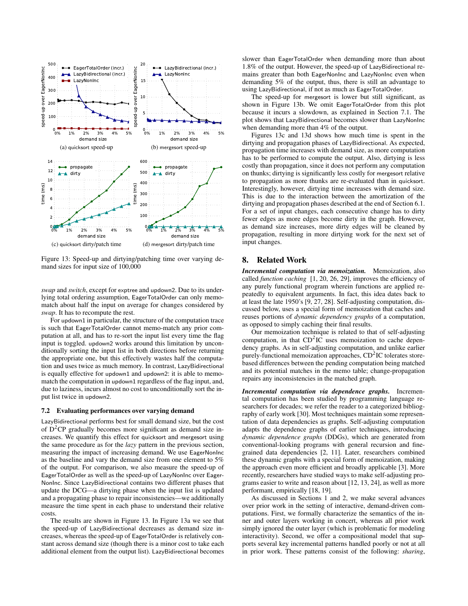

Figure 13: Speed-up and dirtying/patching time over varying demand sizes for input size of 100,000

*swap* and *switch*, except for exptree and updown2. Due to its underlying total ordering assumption, EagerTotalOrder can only memomatch about half the input on average for changes considered by *swap*. It has to recompute the rest.

For updown1 in particular, the structure of the computation trace is such that EagerTotalOrder cannot memo-match any prior computation at all, and has to re-sort the input list every time the flag input is toggled. updown2 works around this limitation by unconditionally sorting the input list in both directions before returning the appropriate one, but this effectively wastes half the computation and uses twice as much memory. In contrast, LazyBidirectional is equally effective for updown1 and updown2: it is able to memomatch the computation in updown1 regardless of the flag input, and, due to laziness, incurs almost no cost to unconditionally sort the input list twice in updown2.

#### 7.2 Evaluating performances over varying demand

LazyBidirectional performs best for small demand size, but the cost of  $D^2CP$  gradually becomes more significant as demand size increases. We quantify this effect for quicksort and mergesort using the same procedure as for the *lazy* pattern in the previous section, measuring the impact of increasing demand. We use EagerNonInc as the baseline and vary the demand size from one element to 5% of the output. For comparison, we also measure the speed-up of EagerTotalOrder as well as the speed-up of LazyNonInc over Eager-NonInc. Since LazyBidirectional contains two different phases that update the DCG—a dirtying phase when the input list is updated and a propagating phase to repair inconsistencies—we additionally measure the time spent in each phase to understand their relative costs.

The results are shown in Figure 13. In Figure 13a we see that the speed-up of LazyBidirectional decreases as demand size increases, whereas the speed-up of EagerTotalOrder is relatively constant across demand size (though there is a minor cost to take each additional element from the output list). LazyBidirectional becomes

slower than EagerTotalOrder when demanding more than about 1.8% of the output. However, the speed-up of LazyBidirectional remains greater than both EagerNonInc and LazyNonInc even when demanding 5% of the output, thus, there is still an advantage to using LazyBidirectional, if not as much as EagerTotalOrder.

The speed-up for mergesort is lower but still significant, as shown in Figure 13b. We omit EagerTotalOrder from this plot because it incurs a slowdown, as explained in Section 7.1. The plot shows that LazyBidirectional becomes slower than LazyNonInc when demanding more than 4% of the output.

Figures 13c and 13d shows how much time is spent in the dirtying and propagation phases of LazyBidirectional. As expected, propagation time increases with demand size, as more computation has to be performed to compute the output. Also, dirtying is less costly than propagation, since it does not perform any computation on thunks; dirtying is significantly less costly for mergesort relative to propagation as more thunks are re-evaluated than in quicksort. Interestingly, however, dirtying time increases with demand size. This is due to the interaction between the amortization of the dirtying and propagation phases described at the end of Section 6.1. For a set of input changes, each consecutive change has to dirty fewer edges as more edges become dirty in the graph. However, as demand size increases, more dirty edges will be cleaned by propagation, resulting in more dirtying work for the next set of input changes.

#### 8. Related Work

*Incremental computation via memoization.* Memoization, also called *function caching* [1, 20, 26, 29], improves the efficiency of any purely functional program wherein functions are applied repeatedly to equivalent arguments. In fact, this idea dates back to at least the late 1950's [9, 27, 28]. Self-adjusting computation, discussed below, uses a special form of memoization that caches and reuses portions of *dynamic dependency graphs* of a computation, as opposed to simply caching their final results.

Our memoization technique is related to that of self-adjusting computation, in that  $CD<sup>2</sup>IC$  uses memoization to cache dependency graphs. As in self-adjusting computation, and unlike earlier purely-functional memoization approaches, CD<sup>2</sup>IC tolerates storebased differences between the pending computation being matched and its potential matches in the memo table; change-propagation repairs any inconsistencies in the matched graph.

*Incremental computation via dependence graphs.* Incremental computation has been studied by programming language researchers for decades; we refer the reader to a categorized bibliography of early work [30]. Most techniques maintain some representation of data dependencies as graphs. Self-adjusting computation adapts the dependence graphs of earlier techniques, introducing *dynamic dependence graphs* (DDGs), which are generated from conventional-looking programs with general recursion and finegrained data dependencies [2, 11]. Later, researchers combined these dynamic graphs with a special form of memoization, making the approach even more efficient and broadly applicable [3]. More recently, researchers have studied ways to make self-adjusting programs easier to write and reason about [12, 13, 24], as well as more performant, empirically [18, 19].

As discussed in Sections 1 and 2, we make several advances over prior work in the setting of interactive, demand-driven computations. First, we formally characterize the semantics of the inner and outer layers working in concert, whereas all prior work simply ignored the outer layer (which is problematic for modeling interactivity). Second, we offer a compositional model that supports several key incremental patterns handled poorly or not at all in prior work. These patterns consist of the following: *sharing*,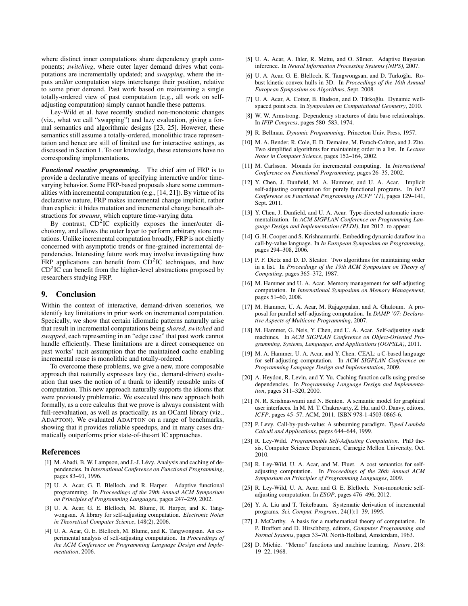where distinct inner computations share dependency graph components; *switching*, where outer layer demand drives what computations are incrementally updated; and *swapping*, where the inputs and/or computation steps interchange their position, relative to some prior demand. Past work based on maintaining a single totally-ordered view of past computation (e.g., all work on selfadjusting computation) simply cannot handle these patterns.

Ley-Wild et al. have recently studied non-monotonic changes (viz., what we call "swapping") and lazy evaluation, giving a formal semantics and algorithmic designs [23, 25]. However, these semantics still assume a totally-ordered, monolithic trace representation and hence are still of limited use for interactive settings, as discussed in Section 1. To our knowledge, these extensions have no corresponding implementations.

*Functional reactive programming.* The chief aim of FRP is to provide a declarative means of specifying interactive and/or timevarying behavior. Some FRP-based proposals share some commonalities with incremental computation (e.g., [14, 21]). By virtue of its declarative nature, FRP makes incremental change implicit, rather than explicit: it hides mutation and incremental change beneath abstractions for *streams*, which capture time-varying data.

By contrast, CD<sup>2</sup>IC explicitly exposes the inner/outer dichotomy, and allows the outer layer to perform arbitrary store mutations. Unlike incremental computation broadly, FRP is not chiefly concerned with asymptotic trends or fine-grained incremental dependencies. Interesting future work may involve investigating how  $FRP$  applications can benefit from  $CD<sup>2</sup>IC$  techniques, and how  $CD<sup>2</sup>IC$  can benefit from the higher-level abstractions proposed by researchers studying FRP.

#### 9. Conclusion

Within the context of interactive, demand-driven scenerios, we identify key limitations in prior work on incremental computation. Specically, we show that certain idiomatic patterns naturally arise that result in incremental computations being *shared*, *switched* and *swapped*, each representing in an "edge case" that past work cannot handle efficiently. These limitations are a direct consequence on past works' tacit assumption that the maintained cache enabling incremental reuse is monolithic and totally-ordered.

To overcome these problems, we give a new, more composable approach that naturally expresses lazy (ie., demand-driven) evaluation that uses the notion of a thunk to identify reusable units of computation. This new approach naturally supports the idioms that were previously problematic. We executed this new approach both formally, as a core calculus that we prove is always consistent with full-reevaluation, as well as practically, as an OCaml library (viz., ADAPTON). We evaluated ADAPTON on a range of benchmarks, showing that it provides reliable speedups, and in many cases dramatically outperforms prior state-of-the-art IC approaches.

#### References

- [1] M. Abadi, B. W. Lampson, and J.-J. Lévy. Analysis and caching of dependencies. In *International Conference on Functional Programming*, pages 83–91, 1996.
- [2] U. A. Acar, G. E. Blelloch, and R. Harper. Adaptive functional programming. In *Proceedings of the 29th Annual ACM Symposium on Principles of Programming Languages*, pages 247–259, 2002.
- [3] U. A. Acar, G. E. Blelloch, M. Blume, R. Harper, and K. Tangwongsan. A library for self-adjusting computation. *Electronic Notes in Theoretical Computer Science*, 148(2), 2006.
- [4] U. A. Acar, G. E. Blelloch, M. Blume, and K. Tangwongsan. An experimental analysis of self-adjusting computation. In *Proceedings of the ACM Conference on Programming Language Design and Implementation*, 2006.
- [5] U. A. Acar, A. Ihler, R. Mettu, and O. Sümer. Adaptive Bayesian inference. In *Neural Information Processing Systems (NIPS)*, 2007.
- [6] U. A. Acar, G. E. Blelloch, K. Tangwongsan, and D. Türkoğlu. Robust kinetic convex hulls in 3D. In *Proceedings of the 16th Annual European Symposium on Algorithms*, Sept. 2008.
- [7] U. A. Acar, A. Cotter, B. Hudson, and D. Türkoğlu. Dynamic wellspaced point sets. In *Symposium on Computational Geometry*, 2010.
- [8] W. W. Armstrong. Dependency structures of data base relationships. In *IFIP Congress*, pages 580–583, 1974.
- [9] R. Bellman. *Dynamic Programming*. Princeton Univ. Press, 1957.
- [10] M. A. Bender, R. Cole, E. D. Demaine, M. Farach-Colton, and J. Zito. Two simplified algorithms for maintaining order in a list. In *Lecture Notes in Computer Science*, pages 152–164, 2002.
- [11] M. Carlsson. Monads for incremental computing. In *International Conference on Functional Programming*, pages 26–35, 2002.
- [12] Y. Chen, J. Dunfield, M. A. Hammer, and U. A. Acar. Implicit self-adjusting computation for purely functional programs. In *Int'l Conference on Functional Programming (ICFP '11)*, pages 129–141, Sept. 2011.
- [13] Y. Chen, J. Dunfield, and U. A. Acar. Type-directed automatic incrementalization. In *ACM SIGPLAN Conference on Programming Language Design and Implementation (PLDI)*, Jun 2012. to appear.
- [14] G. H. Cooper and S. Krishnamurthi. Embedding dynamic dataflow in a call-by-value language. In *In European Symposium on Programming*, pages 294–308, 2006.
- [15] P. F. Dietz and D. D. Sleator. Two algorithms for maintaining order in a list. In *Proceedings of the 19th ACM Symposium on Theory of Computing*, pages 365–372, 1987.
- [16] M. Hammer and U. A. Acar. Memory management for self-adjusting computation. In *International Symposium on Memory Management*, pages 51–60, 2008.
- [17] M. Hammer, U. A. Acar, M. Rajagopalan, and A. Ghuloum. A proposal for parallel self-adjusting computation. In *DAMP '07: Declarative Aspects of Multicore Programming*, 2007.
- [18] M. Hammer, G. Neis, Y. Chen, and U. A. Acar. Self-adjusting stack machines. In *ACM SIGPLAN Conference on Object-Oriented Programming, Systems, Languages, and Applications (OOPSLA)*, 2011.
- [19] M. A. Hammer, U. A. Acar, and Y. Chen. CEAL: a C-based language for self-adjusting computation. In *ACM SIGPLAN Conference on Programming Language Design and Implementation*, 2009.
- [20] A. Heydon, R. Levin, and Y. Yu. Caching function calls using precise dependencies. In *Programming Language Design and Implementation*, pages 311–320, 2000.
- [21] N. R. Krishnaswami and N. Benton. A semantic model for graphical user interfaces. In M. M. T. Chakravarty, Z. Hu, and O. Danvy, editors, *ICFP*, pages 45–57. ACM, 2011. ISBN 978-1-4503-0865-6.
- [22] P. Levy. Call-by-push-value: A subsuming paradigm. *Typed Lambda Calculi and Applications*, pages 644–644, 1999.
- [23] R. Ley-Wild. *Programmable Self-Adjusting Computation*. PhD thesis, Computer Science Department, Carnegie Mellon University, Oct. 2010.
- [24] R. Ley-Wild, U. A. Acar, and M. Fluet. A cost semantics for selfadjusting computation. In *Proceedings of the 26th Annual ACM Symposium on Principles of Programming Languages*, 2009.
- [25] R. Ley-Wild, U. A. Acar, and G. E. Blelloch. Non-monotonic selfadjusting computation. In *ESOP*, pages 476–496, 2012.
- [26] Y. A. Liu and T. Teitelbaum. Systematic derivation of incremental programs. *Sci. Comput. Program.*, 24(1):1–39, 1995.
- [27] J. McCarthy. A basis for a mathematical theory of computation. In P. Braffort and D. Hirschberg, editors, *Computer Programming and Formal Systems*, pages 33–70. North-Holland, Amsterdam, 1963.
- [28] D. Michie. "Memo" functions and machine learning. *Nature*, 218: 19–22, 1968.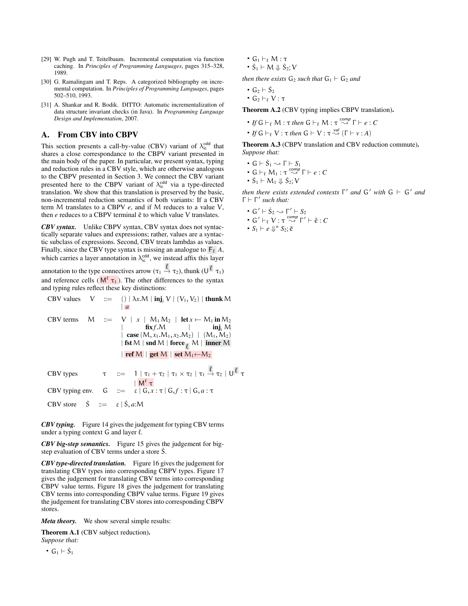- [29] W. Pugh and T. Teitelbaum. Incremental computation via function caching. In *Principles of Programming Languages*, pages 315–328, 1989.
- [30] G. Ramalingam and T. Reps. A categorized bibliography on incremental computation. In *Principles of Programming Languages*, pages 502–510, 1993.
- [31] A. Shankar and R. Bodik. DITTO: Automatic incrementalization of data structure invariant checks (in Java). In *Programming Language Design and Implementation*, 2007.

# A. From CBV into CBPV

This section presents a call-by-value (CBV) variant of  $\lambda_{\rm ic}^{\rm cdd}$  that shares a close correspondance to the CBPV variant presented in the main body of the paper. In particular, we present syntax, typing and reduction rules in a CBV style, which are otherwise analogous to the CBPV presented in Section 3. We connect the CBV variant presented here to the CBPV variant of  $\lambda_{\text{ic}}^{\text{cdd}}$  via a type-directed translation. We show that this translation is preserved by the basic, non-incremental reduction semantics of both variants: If a CBV term M translates to a CBPV *e*, and if M reduces to a value V, then *e* reduces to a CBPV terminal  $\tilde{e}$  to which value V translates.

*CBV syntax.* Unlike CBPV syntax, CBV syntax does not syntactically separate values and expressions; rather, values are a syntactic subclass of expressions. Second, CBV treats lambdas as values. Finally, since the CBV type syntax is missing an analogue to  $\mathsf{F}_\ell A$ , which carries a layer annotation in  $\lambda_{ic}^{\text{cdd}}$ , we instead affix this layer

annotation to the type connectives arrow ( $\tau_1 \xrightarrow{\ell} \tau_2$ ), thunk  $(U^{\ell} \tau_1)$ and reference cells ( $M^{\ell} \tau_1$ ). The other differences to the syntax and typing rules reflect these key distinctions:

CBV values V ::= ( ) | 
$$
\lambda x.M
$$
 | **inj**<sub>i</sub> V | (V<sub>1</sub>, V<sub>2</sub>) | **thunk** M  
\nCBV terms M ::= V | x | M<sub>1</sub> M<sub>2</sub> | **let** x  $\leftarrow$  M<sub>1</sub> **in** M<sub>2</sub>  
\n
$$
\begin{array}{c|c c}\n & \text{fix }f.M & | & \text{inj}_i M \\
 & \text{case } (M, x_1.M_1, x_2.M_2) | (M_1, M_2) \\
 & | \text{fst } M | \text{snd } M | \text{ force } \ell M | \text{ inner } M\n\end{array}
$$
\nCBV types  $\tau$  ::=  $\frac{1}{\Gamma} \left| \frac{\tau_1}{\Gamma} + \tau_2 \right| \tau_1 \times \tau_2 | \tau_1 \xrightarrow{\ell} \tau_2 | U^{\ell} \tau$   
\nCBV typing env. G ::=  $\varepsilon | G, x : \tau | G, f : \tau | G, a : \tau$   
\nCBV store  $\dot{S}$  ::=  $\varepsilon | \dot{S}, a : M$ 

*CBV typing.* Figure 14 gives the judgement for typing CBV terms under a typing context  $G$  and layer  $\ell$ .

*CBV big-step semantics.* Figure 15 gives the judgement for bigstep evaluation of CBV terms under a store S.

*CBV type-directed translation.* Figure 16 gives the judgement for translating CBV types into corresponding CBPV types. Figure 17 gives the judgement for translating CBV terms into corresponding CBPV value terms. Figure 18 gives the judgement for translating CBV terms into corresponding CBPV value terms. Figure 19 gives the judgement for translating CBV stores into corresponding CBPV stores.

*Meta theory.* We show several simple results:

Theorem A.1 (CBV subject reduction). *Suppose that:*

•  $G_1 \vdash \dot{S}_1$ 

- $G_1 \vdash_{\ell} M : \tau$
- $\dot{S}_1 \vdash M \Downarrow \dot{S}_2; V$

*then there exists*  $G_2$  *such that*  $G_1 \vdash G_2$  *and* 

- $G_2 \vdash \dot{S}_2$
- $\cdot$  G<sub>2</sub>  $\vdash_{\ell}$  V : τ

Theorem A.2 (CBV typing implies CBPV translation).

- $\bullet$  *If*  $G \vdash_{\ell} M : \tau$  *then*  $G \vdash_{\ell} M : \tau \stackrel{comp}{\rightsquigarrow} \Gamma \vdash e : C$
- *If*  $G \vdash_{\ell} V : \tau$  *then*  $G \vdash V : \tau \stackrel{val}{\leadsto} (\Gamma \vdash v : A)$

Theorem A.3 (CBPV translation and CBV reduction commute). *Suppose that:*

$$
\bullet \, \, \mathsf{G} \vdash \dot{\mathsf{S}}_1 \leadsto \Gamma \vdash \mathsf{S}_1
$$

• 
$$
G \vdash_{\ell} M_1 : \tau \stackrel{comp}{\leadsto} \Gamma \vdash e : C
$$

•  $\dot{S}_1 \vdash M_1 \Downarrow \dot{S}_2; V$ 

*then there exists extended contexts*  $\Gamma'$  *and*  $G'$  *with*  $G \vdash G'$  *and* Γ ` Γ 0 *such that:*

- $G' \vdash \dot{S}_2 \leadsto \Gamma' \vdash S_2$
- $\bullet$  *G*<sup>'</sup>  $\vdash_{\ell}$  V : τ  $\stackrel{comp}{\leadsto}$   $\Gamma' \vdash \tilde{e} : C$
- $S_1 \vdash e \Downarrow^n S_2; \tilde{e}$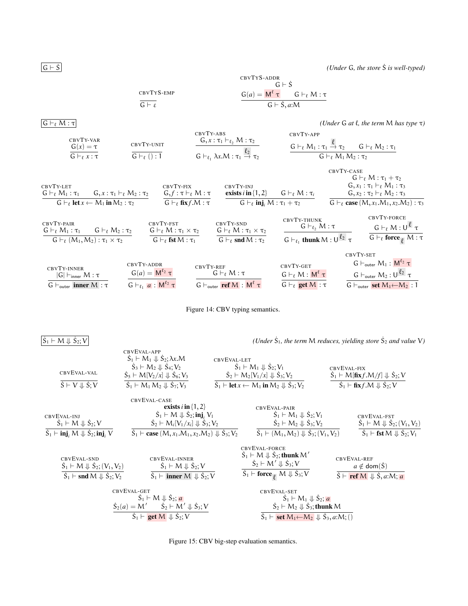$\dot{S}_1 \vdash M \Downarrow \dot{S}$ 

 $\boxed{G + \dot{S}}$  *(Under G, the store*  $\dot{S}$  *is well-typed)* 

CBVTYS-ADDR  
\nGBVTYS-EMP  
\n
$$
\frac{G(e)}{G+g} = \frac{M^{\ell} \tau}{G+g} \frac{G+gM:\tau}{G+g,m}
$$

 $\boxed{G \vdash_{\ell} M : \tau}$  (Under  $G$  *at*  $\ell$ , the term  $M$  has type  $\tau$ )



|                                                                                                         |                                                                                 |                                                                                                    |                                                                                                |                                                                                           | CBVTY-CASE                                                                                   | $G\vdash_{\ell} M:\tau_1+\tau_2$                                                                                                                                     |  |  |
|---------------------------------------------------------------------------------------------------------|---------------------------------------------------------------------------------|----------------------------------------------------------------------------------------------------|------------------------------------------------------------------------------------------------|-------------------------------------------------------------------------------------------|----------------------------------------------------------------------------------------------|----------------------------------------------------------------------------------------------------------------------------------------------------------------------|--|--|
| CBVTY-LET<br>$G \vdash_{\ell} M_1 : \tau_1$                                                             | $G, x : \tau_1 \vdash_{\ell} M_2 : \tau_2$                                      | CBVTY-FIX<br>$G, f: \tau \vdash_{\ell} M: \tau$                                                    | CBVTY-INJ<br>exists $i$ in $\{1, 2\}$                                                          | $G\vdash_{\ell} M:\tau_{i}$                                                               | $G, x_1 : \tau_1 \vdash_{\ell} M_1 : \tau_3$<br>$G, x_2 : \tau_2 \vdash_{\ell} M_2 : \tau_3$ |                                                                                                                                                                      |  |  |
| $G \vdash_{\ell} \text{let } x \leftarrow M_1 \text{ in } M_2 : \tau_2$                                 |                                                                                 | $G \vdash_{\ell}$ fix $f.M : \tau$                                                                 | $G \vdash_{\ell} \mathbf{inj}_i M : \tau_1 + \tau_2$                                           |                                                                                           |                                                                                              | G $\vdash_{\ell}$ case $(M, x_1.M_1, x_2.M_2): \tau_3$                                                                                                               |  |  |
| CBVTY-PAIR<br>$G\vdash_{\ell} M_1:\tau_1$<br>$G\vdash_{\ell} (M_1, M_2): \tau_1\times \tau_2$           | $G \vdash_{\ell} M_2 : \tau_2$                                                  | CBVTY-FST<br>$G\vdash_{\ell} M:\tau_1\times\tau_2$<br>$G \vdash_{\ell} \textbf{fst} \, M : \tau_1$ | CBVTY-SND<br>$G\vdash_{\ell} M:\tau_1\times\tau_2$<br>$G \vdash_{\ell} \text{snd } M : \tau_2$ | CBVTY-THUNK<br>$G\vdash_{\ell} M:\tau$<br>$G \vdash_{\ell_1}$ thunk $M : U^{\ell_2} \tau$ |                                                                                              | CBVTY-FORCE<br>$G\vdash_{\ell} M:U^{\ell}$ $\tau$<br>$G \vdash_{\ell} \mathbf{force}_{\overline{\rho}} M : \tau$                                                     |  |  |
| CBVTY-INNER<br>$ G  \vdash_{\text{inner}} M : \tau$<br>$G \vdash_{\text{outer}} \text{inner } M : \tau$ | CBVTY-ADDR<br>$G(a) = M^{\ell_2} \tau$<br>$G\vdash_{\ell_1} a: M^{\ell_2} \tau$ | CBVTY-REF                                                                                          | $G\vdash_{\ell} M:\tau$<br>$G \vdash_{\text{outer}} \textbf{ref } M : M^{\ell} \tau$           | CBVTY-GET<br>$G\vdash_{\ell} M: M^{\ell} \tau$<br>$G\vdash_{\ell} \textbf{get }M:\tau$    | CBVTY-SET                                                                                    | $G \vdash_{\mathsf{outer}} M_1 : M^{\ell_2} \tau$<br>$G \vdash_{\text{outer}} M_2: U^{\ell_2} \tau$<br>$G \vdash_{\text{outer}} \textbf{set} M_1 \leftarrow M_2 : 1$ |  |  |



 $\mathcal{L}_2$ ; V  $|U|$  *(Under S***<sub>1</sub>**, the term M reduces, yielding store S<sub>2</sub> and value V)

| CBVEVAL-VAL<br>$\dot{S} \vdash V \Downarrow \dot{S}$ ; V                                                                               | CBVEVAL-APP<br>$S_1 \vdash M_1 \Downarrow S_2; \lambda x.M$<br>$S_3 \vdash M_2 \Downarrow S_4; V_2$<br>$\dot{S}_5$ $\vdash M[V_2/x] \Downarrow \dot{S}_6; V_3$<br>$S_1 \vdash M_1 M_2 \Downarrow S_7; V_3$ | CBVEVAL-LET<br>$S_1 \vdash M_1 \Downarrow S_2; V_1$<br>$\dot{S}_2$ + $M_2[V_1/x] \Downarrow \dot{S}_3; V_2$<br>$\dot{S}_1$ $\vdash$ <b>let</b> $x \leftarrow M_1$ <b>in</b> $M_2 \Downarrow \dot{S}_3$ ; $V_2$ | CBVEVAL-FIX<br>$\dot{S}_1 \vdash M[\mathbf{fix}f.M/f] \Downarrow \dot{S}_2; V$<br>$\dot{S}_1$ $\vdash$ fix f.M $\Downarrow$ $\dot{S}_2$ ; V |
|----------------------------------------------------------------------------------------------------------------------------------------|------------------------------------------------------------------------------------------------------------------------------------------------------------------------------------------------------------|----------------------------------------------------------------------------------------------------------------------------------------------------------------------------------------------------------------|---------------------------------------------------------------------------------------------------------------------------------------------|
| CBVEVAL-INJ<br>$S_1 \vdash M \Downarrow S_2; V$                                                                                        | CBVEVAL-CASE<br>exists $i$ in $\{1, 2\}$<br>$\dot{S}_1 \vdash M \Downarrow \dot{S}_2$ ; inj, $V_1$<br>$\dot{S}_2$ + $M_i[V_1/x_i] \Downarrow \dot{S}_3; V_2$                                               | CBVEVAL-PAIR<br>$S_1 \vdash M_1 \Downarrow S_2; V_1$<br>$\dot{S}_2 \vdash M_2 \Downarrow \dot{S}_3; V_2$                                                                                                       | CBVEVAL-FST<br>$\dot{S}_1 \vdash M \Downarrow \dot{S}_2$ ; $(V_1, V_2)$                                                                     |
| $\dot{S}_1$ $\vdash$ inj <sub>i</sub> M $\Downarrow$ $\dot{S}_2$ ; inj <sub>i</sub> V                                                  | $\dot{S}_1$ $\vdash$ case $(M, x_1.M_1, x_2.M_2) \Downarrow \dot{S}_3; V_2$                                                                                                                                | $\dot{S}_1 \vdash (M_1, M_2) \Downarrow \dot{S}_3$ ; $(V_1, V_2)$                                                                                                                                              | $\dot{S}_1$ $\vdash$ fst M $\Downarrow$ $\dot{S}_2$ ; $V_1$                                                                                 |
| CBVEVAL-SND<br>$\dot{S}_1 \vdash M \Downarrow \dot{S}_2$ ; $(V_1, V_2)$<br>$\dot{S}_1$ $\vdash$ snd M $\Downarrow$ $\dot{S}_2$ ; $V_2$ | CBVEVAL-INNER<br>$\dot{S}_1 \vdash M \Downarrow \dot{S}_2; V$<br>$\dot{S}_1$ $\vdash$ inner M $\Downarrow$ $\dot{S}_2$ ; V                                                                                 | CBVEVAL-FORCE<br>$\dot{S}_1 \vdash M \Downarrow \dot{S}_2$ ; thunk $M'$<br>$\dot{S}_2$ $\vdash M' \Downarrow \dot{S}_3$ ; V<br>$\dot{S}_1$ $\vdash$ force $\lnot M \Downarrow \dot{S}_3$ ; V                   | CBVEVAL-REF<br>$a \notin \text{dom}(S)$<br>$\dot{S}$ $\vdash$ <b>ref</b> M $\Downarrow$ $\dot{S}$ , <i>a</i> :M; <i>a</i>                   |
|                                                                                                                                        | CBVEVAL-GET<br>$\dot{S}_1 \vdash M \Downarrow \dot{S}_2$ ; a<br>$\dot{S}_2(a) = M'$ $\dot{S}_2 \vdash M' \Downarrow \dot{S}_3; V$<br>$\dot{S}_1 \vdash \textbf{get } M \Downarrow \dot{S}_2; V$            | CBVEVAL-SET<br>$S_1 \vdash M_1 \Downarrow S_2$ ; a<br>$\dot{S}_2 \vdash M_2 \Downarrow \dot{S}_3$ ; thunk M<br>$\dot{S}_1 \vdash$ set $M_1 \leftarrow M_2 \Downarrow \dot{S}_3, a:M;$ ()                       |                                                                                                                                             |

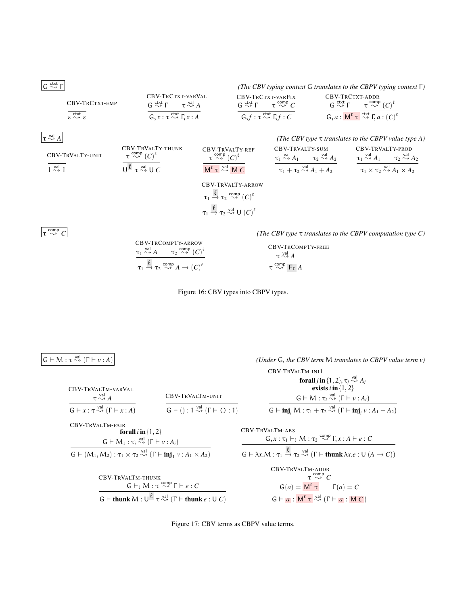| G $\stackrel{\text{cst}}{\rightsquigarrow}$ F | (The CBV typing context G translates to the CBPV typing context F)         |                                        |                                                                            |                                         |                                         |                                         |                                         |
|-----------------------------------------------|----------------------------------------------------------------------------|----------------------------------------|----------------------------------------------------------------------------|-----------------------------------------|-----------------------------------------|-----------------------------------------|-----------------------------------------|
| CBV-TRCTXT-VARVAL                             | CBV-TRCTXT-VARVAL                                                          | CBV-TRCTXT-VARFix                      | CBV-TRCTXT-ADDR                                                            |                                         |                                         |                                         |                                         |
| CBV-TRCTXT-EMP                                | $\stackrel{\text{Catt}}{\underset{\epsilon \sim \epsilon}{\sim \epsilon}}$ | $\tau \stackrel{\sim \lambda}{\sim} A$ | $\stackrel{\text{Catt}}{\underset{\epsilon \sim \epsilon}{\sim \epsilon}}$ | $\tau \stackrel{\text{cst}}{\sim} \tau$ | $\tau \stackrel{\text{cst}}{\sim} \tau$ | $\tau \stackrel{\text{cst}}{\sim} \tau$ | $\tau \stackrel{\text{cst}}{\sim} \tau$ |

| $\tau \stackrel{\text{val}}{\sim}$ | $\tau$          | $\tau$          | $\tau$          | $\tau$          |                 |                 |                 |                  |                  |                  |                  |                  |    |    |    |    |    |    |    |    |    |    |    |    |    |    |    |    |    |    |    |    |    |    |    |    |    |    |    |    |    |    |    |    |    |    |    |    |    |    |    |    |    |    |    |    |    |    |    |    |    |    |    |    |    |    |    |    |    |    |    |    |    |    |    |    |    |    |    |    |    |
|------------------------------------|-----------------|-----------------|-----------------|-----------------|-----------------|-----------------|-----------------|------------------|------------------|------------------|------------------|------------------|----|----|----|----|----|----|----|----|----|----|----|----|----|----|----|----|----|----|----|----|----|----|----|----|----|----|----|----|----|----|----|----|----|----|----|----|----|----|----|----|----|----|----|----|----|----|----|----|----|----|----|----|----|----|----|----|----|----|----|----|----|----|----|----|----|----|----|----|----|
| CBV-TRVALTY-THUNK                  | CBV-TRVALTY-REF | CBV-TRVALTY-SUM | CBV-TRVALTY-SUM | CBV-TRVALTY-SUM | CBV-TRVALTY-SUM | CBV-TRVALTY-SUM | CBV-TRVALTY-SUM | CBV-TRVALTY-PROD | CBV-TRVALTY-PROD | CBV-TRVALTY-PROD | CBV-TRVALTY-PROD | CBV-TRVALTY-PROD | CA | CA | CA | CA | CA | CA | CA | CA | CA | CA | CA | CA | CA | CA | CA | CA | CA | CA | CA | CA | CA | CA | CA | CA | CA | CA | CA | CA | CA | CA | CA | CA | CA | CA | CA | CA | CA | CA | CA | CA | CA | CA | CA | CA | CA | CA | CA | CA | CA | CA | CA | CA | CA | CA | CA | CA | CA | CA | CA | CA | CA | CA | CA | CA | CA | CA | CA | CA | CA |

$$
\frac{\tau_1 \stackrel{\ell}{\to} \tau_2 \stackrel{\text{comp}}{\leadsto} (C)^{\ell}}{\ell}
$$

$$
\tau_1 \stackrel{\ell}{\to} \tau_2 \stackrel{\text{val}}{\leadsto} U(C)^{\ell}
$$

τ  $\frac{\text{comp}}{\sim} C$ 

comp ❀ *C (The CBV type* τ *translates to the CBPV computation type C)*

CBV-TRCOMPTY-ARROW  
\n
$$
\frac{\tau_1 \stackrel{val}{\sim} A \qquad \tau_2 \stackrel{comp}{\sim} (C)^{\ell}}{\tau_1 \stackrel{\ell}{\rightarrow} \tau_2 \stackrel{comp}{\sim} A \rightarrow (C)^{\ell}} \qquad \qquad \frac{\text{CBV-TRCOMPTY-FREE}}{\tau \stackrel{val}{\sim} \tau \stackrel{\text{val}}{\sim} F_{\ell} A}
$$

Figure 16: CBV types into CBPV types.

 $G \vdash M : \tau \stackrel{val}{\rightsquigarrow} (\Gamma \vdash v : A)$ 

*(Under G, the CBV term M translates to CBPV value term v)* 

|                                                                                  | CBV-TRVALTM-INJ1<br>forall <i>j</i> in {1, 2}, $\tau_j \stackrel{\text{val}}{\rightsquigarrow} A_j$<br>exists $i$ in $\{1, 2\}$    |  |
|----------------------------------------------------------------------------------|------------------------------------------------------------------------------------------------------------------------------------|--|
|                                                                                  |                                                                                                                                    |  |
|                                                                                  |                                                                                                                                    |  |
| CBV-TRVALTM-UNIT                                                                 | $G \vdash M : \tau_i \stackrel{\text{val}}{\rightsquigarrow} (\Gamma \vdash v : A_i)$                                              |  |
| $G \vdash () : 1 \stackrel{\text{val}}{\rightsquigarrow} (\Gamma \vdash () : 1)$ | $G \vdash \mathbf{inj}, M : \tau_1 + \tau_2 \stackrel{\text{val}}{\rightsquigarrow} (\Gamma \vdash \mathbf{inj}, \nu : A_1 + A_2)$ |  |

CBV-TRVALTM-VARVAL τ val ❀ *A*  $G \vdash x : \tau \stackrel{\text{val}}{\rightsquigarrow} (\Gamma \vdash x : A)$ 

CBV-TRVALTM-PAIR forall *i* in {1, 2}  $G \vdash M_1 : \tau_i \stackrel{\text{val}}{\sim} (\Gamma \vdash v : A_i)$  $G \vdash (M_1, M_2) : \tau_1 \times \tau_2 \stackrel{\text{val}}{\rightsquigarrow} (\Gamma \vdash \text{inj}_1 v : A_1 \times A_2)$ 

CBV-TRVALTM-THUNK  
\n
$$
\frac{G \vdash_{\ell} M : \tau \stackrel{\text{comp}}{\rightsquigarrow} \Gamma \vdash e : C}{G \vdash \text{thunk } M : \bigcup^{\ell} \tau \stackrel{\text{val}}{\rightsquigarrow} (\Gamma \vdash \text{thunk } e : U C)}
$$

CBV-TRVALTM-ABS  
\n
$$
\frac{G, x: \tau_1 \vdash_{\ell} M: \tau_2 \stackrel{comp}{\leadsto} \Gamma, x:A \vdash e:C}{G \vdash \lambda x.M: \tau_1 \stackrel{\ell}{\to} \tau_2 \stackrel{val}{\leadsto} (\Gamma \vdash \textbf{thunk} \lambda x.e: U (A \to C))}
$$
\nCBV-TRVALTM-ADDR  
\n
$$
\tau \stackrel{comp}{\leadsto} C
$$
\n
$$
\frac{G(a) = M^{\ell} \tau}{G \vdash a: M^{\ell} \tau \stackrel{val}{\leadsto} (\Gamma \vdash a: M C)}
$$

Figure 17: CBV terms as CBPV value terms.